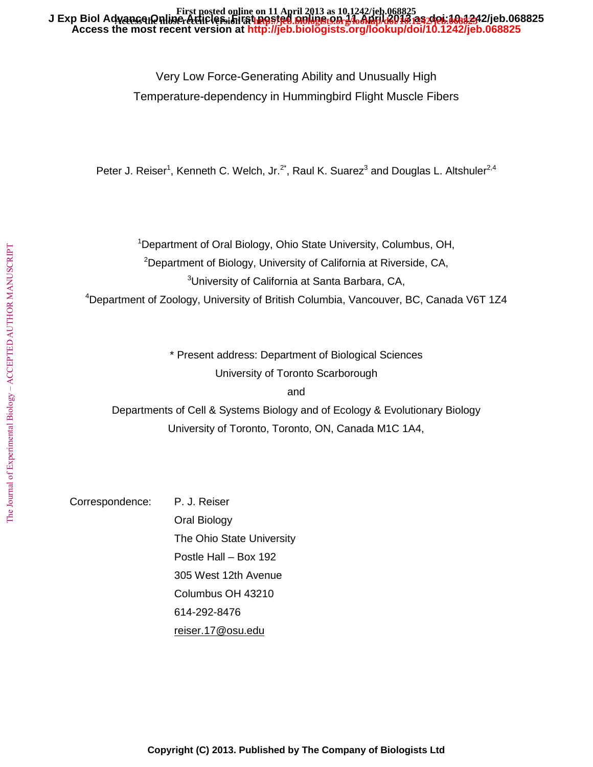#### **Access the most recent version at<http://jeb.biologists.org/lookup/doi/10.1242/jeb.068825>** J Exp Biol Advance Phine Atticles. First posted online ton 17 April 2013 pa. 401.10.84242/jeb.068825 **First posted online on 11 April 2013 as 10.1242/jeb.068825**

Very Low Force-Generating Ability and Unusually High Temperature-dependency in Hummingbird Flight Muscle Fibers

Peter J. Reiser<sup>1</sup>, Kenneth C. Welch, Jr.<sup>2\*</sup>, Raul K. Suarez<sup>3</sup> and Douglas L. Altshuler<sup>2,4</sup>

<sup>1</sup>Department of Oral Biology, Ohio State University, Columbus, OH,

<sup>2</sup>Department of Biology, University of California at Riverside, CA,

<sup>3</sup>University of California at Santa Barbara, CA,

<sup>4</sup>Department of Zoology, University of British Columbia, Vancouver, BC, Canada V6T 1Z4

\* Present address: Department of Biological Sciences University of Toronto Scarborough

and

Departments of Cell & Systems Biology and of Ecology & Evolutionary Biology University of Toronto, Toronto, ON, Canada M1C 1A4,

Correspondence: P. J. Reiser

Oral Biology The Ohio State University Postle Hall – Box 192 305 West 12th Avenue Columbus OH 43210 614-292-8476 [reiser.17@osu.edu](mailto:reiser.17@osu.edu)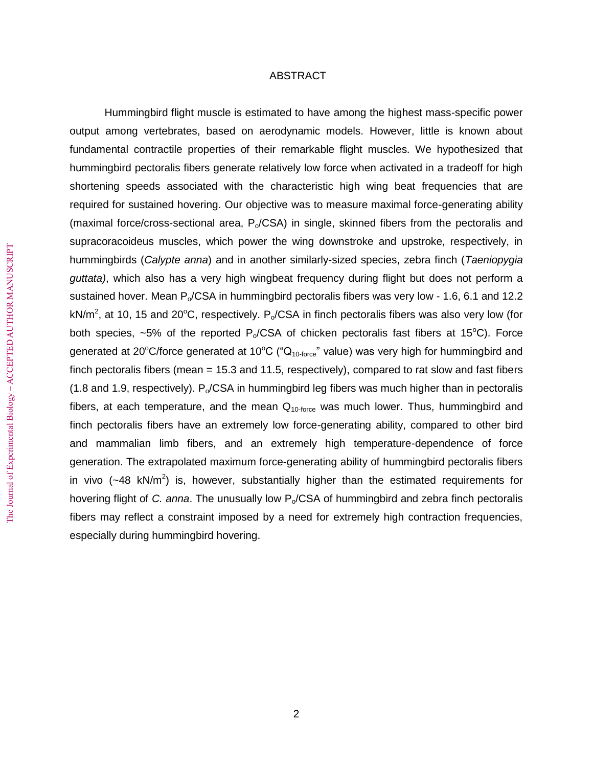# ABSTRACT

 Hummingbird flight muscle is estimated to have among the highest mass-specific power output among vertebrates, based on aerodynamic models. However, little is known about fundamental contractile properties of their remarkable flight muscles. We hypothesized that hummingbird pectoralis fibers generate relatively low force when activated in a tradeoff for high shortening speeds associated with the characteristic high wing beat frequencies that are required for sustained hovering. Our objective was to measure maximal force-generating ability (maximal force/cross-sectional area,  $P_0/CSA$ ) in single, skinned fibers from the pectoralis and supracoracoideus muscles, which power the wing downstroke and upstroke, respectively, in hummingbirds (*Calypte anna*) and in another similarly-sized species, zebra finch (*Taeniopygia guttata)*, which also has a very high wingbeat frequency during flight but does not perform a sustained hover. Mean  $P_0/CSA$  in hummingbird pectoralis fibers was very low - 1.6, 6.1 and 12.2 kN/m<sup>2</sup>, at 10, 15 and 20°C, respectively. P<sub>o</sub>/CSA in finch pectoralis fibers was also very low (for both species,  $\sim$ 5% of the reported P<sub>o</sub>/CSA of chicken pectoralis fast fibers at 15<sup>o</sup>C). Force generated at 20°C/force generated at 10°C (" $Q<sub>10-force</sub>$ " value) was very high for hummingbird and finch pectoralis fibers (mean = 15.3 and 11.5, respectively), compared to rat slow and fast fibers  $(1.8$  and 1.9, respectively). P<sub>o</sub>/CSA in hummingbird leg fibers was much higher than in pectoralis fibers, at each temperature, and the mean  $Q_{10\text{-}force}$  was much lower. Thus, hummingbird and finch pectoralis fibers have an extremely low force-generating ability, compared to other bird and mammalian limb fibers, and an extremely high temperature-dependence of force generation. The extrapolated maximum force-generating ability of hummingbird pectoralis fibers in vivo ( $\sim$ 48 kN/m<sup>2</sup>) is, however, substantially higher than the estimated requirements for hovering flight of *C. anna*. The unusually low P<sub>o</sub>/CSA of hummingbird and zebra finch pectoralis fibers may reflect a constraint imposed by a need for extremely high contraction frequencies, especially during hummingbird hovering.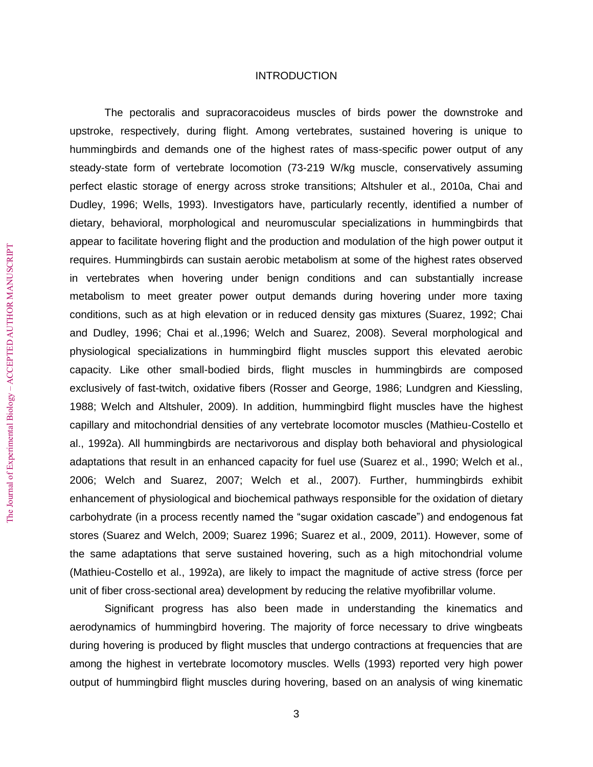# INTRODUCTION

The pectoralis and supracoracoideus muscles of birds power the downstroke and upstroke, respectively, during flight. Among vertebrates, sustained hovering is unique to hummingbirds and demands one of the highest rates of mass-specific power output of any steady-state form of vertebrate locomotion (73-219 W/kg muscle, conservatively assuming perfect elastic storage of energy across stroke transitions; Altshuler et al., 2010a, Chai and Dudley, 1996; Wells, 1993). Investigators have, particularly recently, identified a number of dietary, behavioral, morphological and neuromuscular specializations in hummingbirds that appear to facilitate hovering flight and the production and modulation of the high power output it requires. Hummingbirds can sustain aerobic metabolism at some of the highest rates observed in vertebrates when hovering under benign conditions and can substantially increase metabolism to meet greater power output demands during hovering under more taxing conditions, such as at high elevation or in reduced density gas mixtures (Suarez, 1992; Chai and Dudley, 1996; Chai et al.,1996; Welch and Suarez, 2008). Several morphological and physiological specializations in hummingbird flight muscles support this elevated aerobic capacity. Like other small-bodied birds, flight muscles in hummingbirds are composed exclusively of fast-twitch, oxidative fibers (Rosser and George, 1986; Lundgren and Kiessling, 1988; Welch and Altshuler, 2009). In addition, hummingbird flight muscles have the highest capillary and mitochondrial densities of any vertebrate locomotor muscles (Mathieu-Costello et al., 1992a). All hummingbirds are nectarivorous and display both behavioral and physiological adaptations that result in an enhanced capacity for fuel use (Suarez et al., 1990; Welch et al., 2006; Welch and Suarez, 2007; Welch et al., 2007). Further, hummingbirds exhibit enhancement of physiological and biochemical pathways responsible for the oxidation of dietary carbohydrate (in a process recently named the "sugar oxidation cascade") and endogenous fat stores (Suarez and Welch, 2009; Suarez 1996; Suarez et al., 2009, 2011). However, some of the same adaptations that serve sustained hovering, such as a high mitochondrial volume (Mathieu-Costello et al., 1992a), are likely to impact the magnitude of active stress (force per unit of fiber cross-sectional area) development by reducing the relative myofibrillar volume.

Significant progress has also been made in understanding the kinematics and aerodynamics of hummingbird hovering. The majority of force necessary to drive wingbeats during hovering is produced by flight muscles that undergo contractions at frequencies that are among the highest in vertebrate locomotory muscles. Wells (1993) reported very high power output of hummingbird flight muscles during hovering, based on an analysis of wing kinematic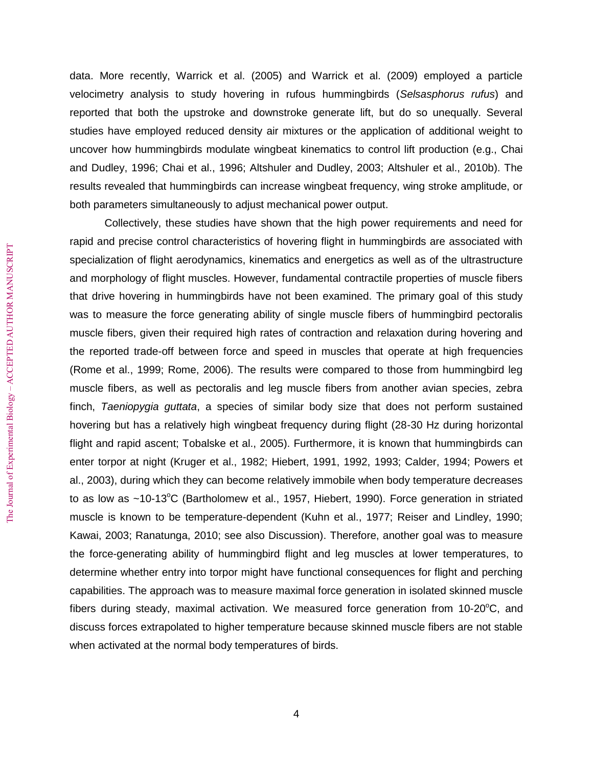data. More recently, Warrick et al. (2005) and Warrick et al. (2009) employed a particle velocimetry analysis to study hovering in rufous hummingbirds (*Selsasphorus rufus*) and reported that both the upstroke and downstroke generate lift, but do so unequally. Several studies have employed reduced density air mixtures or the application of additional weight to uncover how hummingbirds modulate wingbeat kinematics to control lift production (e.g., Chai and Dudley, 1996; Chai et al., 1996; Altshuler and Dudley, 2003; Altshuler et al., 2010b). The results revealed that hummingbirds can increase wingbeat frequency, wing stroke amplitude, or both parameters simultaneously to adjust mechanical power output.

Collectively, these studies have shown that the high power requirements and need for rapid and precise control characteristics of hovering flight in hummingbirds are associated with specialization of flight aerodynamics, kinematics and energetics as well as of the ultrastructure and morphology of flight muscles. However, fundamental contractile properties of muscle fibers that drive hovering in hummingbirds have not been examined. The primary goal of this study was to measure the force generating ability of single muscle fibers of hummingbird pectoralis muscle fibers, given their required high rates of contraction and relaxation during hovering and the reported trade-off between force and speed in muscles that operate at high frequencies (Rome et al., 1999; Rome, 2006). The results were compared to those from hummingbird leg muscle fibers, as well as pectoralis and leg muscle fibers from another avian species, zebra finch, *Taeniopygia guttata*, a species of similar body size that does not perform sustained hovering but has a relatively high wingbeat frequency during flight (28-30 Hz during horizontal flight and rapid ascent; Tobalske et al., 2005). Furthermore, it is known that hummingbirds can enter torpor at night (Kruger et al., 1982; Hiebert, 1991, 1992, 1993; Calder, 1994; Powers et al., 2003), during which they can become relatively immobile when body temperature decreases to as low as  $\sim$ 10-13°C (Bartholomew et al., 1957, Hiebert, 1990). Force generation in striated muscle is known to be temperature-dependent (Kuhn et al., 1977; Reiser and Lindley, 1990; Kawai, 2003; Ranatunga, 2010; see also Discussion). Therefore, another goal was to measure the force-generating ability of hummingbird flight and leg muscles at lower temperatures, to determine whether entry into torpor might have functional consequences for flight and perching capabilities. The approach was to measure maximal force generation in isolated skinned muscle fibers during steady, maximal activation. We measured force generation from  $10\text{-}20^{\circ}\text{C}$ , and discuss forces extrapolated to higher temperature because skinned muscle fibers are not stable when activated at the normal body temperatures of birds.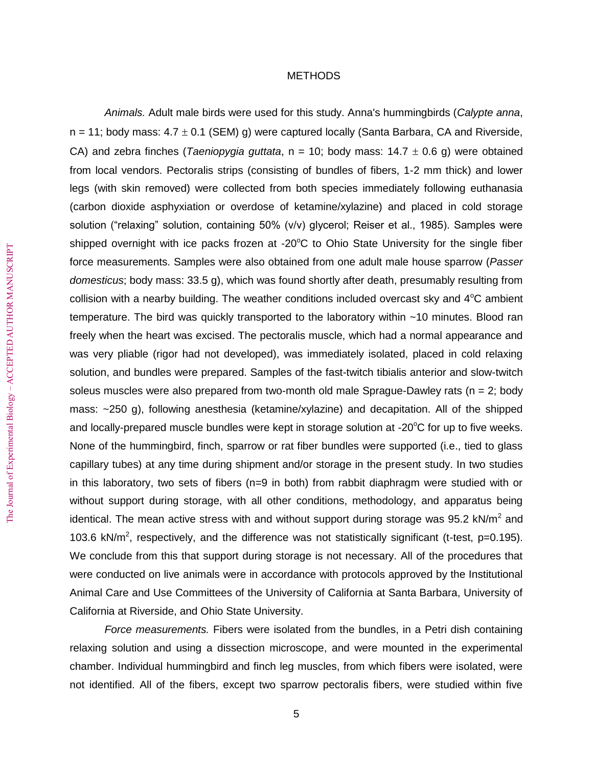# METHODS

*Animals.* Adult male birds were used for this study. Anna's hummingbirds (*Calypte anna*,  $n = 11$ ; body mass:  $4.7 \pm 0.1$  (SEM) g) were captured locally (Santa Barbara, CA and Riverside, CA) and zebra finches (*Taeniopygia guttata*,  $n = 10$ ; body mass:  $14.7 \pm 0.6$  g) were obtained from local vendors. Pectoralis strips (consisting of bundles of fibers, 1-2 mm thick) and lower legs (with skin removed) were collected from both species immediately following euthanasia (carbon dioxide asphyxiation or overdose of ketamine/xylazine) and placed in cold storage solution ("relaxing" solution, containing 50% (v/v) glycerol; Reiser et al., 1985). Samples were shipped overnight with ice packs frozen at -20°C to Ohio State University for the single fiber force measurements. Samples were also obtained from one adult male house sparrow (*Passer domesticus*; body mass: 33.5 g), which was found shortly after death, presumably resulting from collision with a nearby building. The weather conditions included overcast sky and  $4^{\circ}$ C ambient temperature. The bird was quickly transported to the laboratory within ~10 minutes. Blood ran freely when the heart was excised. The pectoralis muscle, which had a normal appearance and was very pliable (rigor had not developed), was immediately isolated, placed in cold relaxing solution, and bundles were prepared. Samples of the fast-twitch tibialis anterior and slow-twitch soleus muscles were also prepared from two-month old male Sprague-Dawley rats ( $n = 2$ ; body mass: ~250 g), following anesthesia (ketamine/xylazine) and decapitation. All of the shipped and locally-prepared muscle bundles were kept in storage solution at - $20^{\circ}$ C for up to five weeks. None of the hummingbird, finch, sparrow or rat fiber bundles were supported (i.e., tied to glass capillary tubes) at any time during shipment and/or storage in the present study. In two studies in this laboratory, two sets of fibers (n=9 in both) from rabbit diaphragm were studied with or without support during storage, with all other conditions, methodology, and apparatus being identical. The mean active stress with and without support during storage was 95.2 kN/m<sup>2</sup> and 103.6 kN/m<sup>2</sup>, respectively, and the difference was not statistically significant (t-test, p=0.195). We conclude from this that support during storage is not necessary. All of the procedures that were conducted on live animals were in accordance with protocols approved by the Institutional Animal Care and Use Committees of the University of California at Santa Barbara, University of California at Riverside, and Ohio State University.

*Force measurements.* Fibers were isolated from the bundles, in a Petri dish containing relaxing solution and using a dissection microscope, and were mounted in the experimental chamber. Individual hummingbird and finch leg muscles, from which fibers were isolated, were not identified. All of the fibers, except two sparrow pectoralis fibers, were studied within five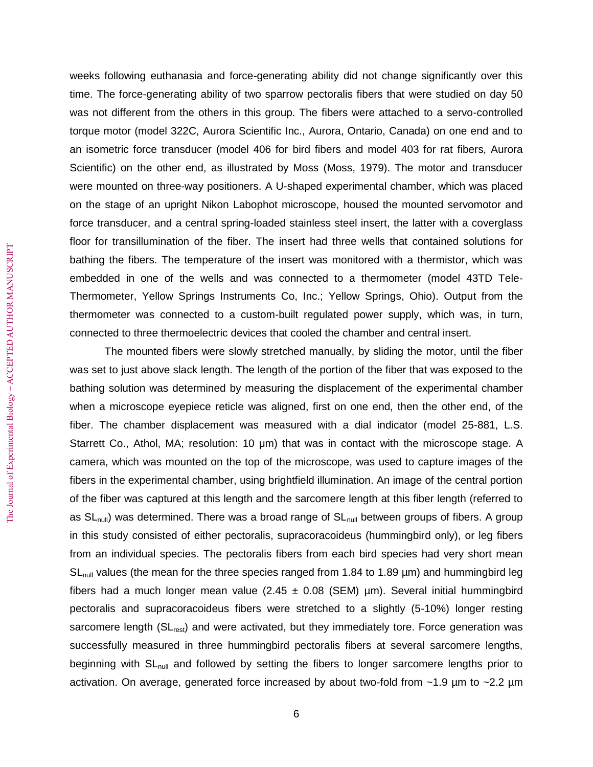weeks following euthanasia and force-generating ability did not change significantly over this time. The force-generating ability of two sparrow pectoralis fibers that were studied on day 50 was not different from the others in this group. The fibers were attached to a servo-controlled torque motor (model 322C, Aurora Scientific Inc., Aurora, Ontario, Canada) on one end and to an isometric force transducer (model 406 for bird fibers and model 403 for rat fibers, Aurora Scientific) on the other end, as illustrated by Moss (Moss, 1979). The motor and transducer were mounted on three-way positioners. A U-shaped experimental chamber, which was placed on the stage of an upright Nikon Labophot microscope, housed the mounted servomotor and force transducer, and a central spring-loaded stainless steel insert, the latter with a coverglass floor for transillumination of the fiber. The insert had three wells that contained solutions for bathing the fibers. The temperature of the insert was monitored with a thermistor, which was embedded in one of the wells and was connected to a thermometer (model 43TD Tele-Thermometer, Yellow Springs Instruments Co, Inc.; Yellow Springs, Ohio). Output from the thermometer was connected to a custom-built regulated power supply, which was, in turn, connected to three thermoelectric devices that cooled the chamber and central insert.

The mounted fibers were slowly stretched manually, by sliding the motor, until the fiber was set to just above slack length. The length of the portion of the fiber that was exposed to the bathing solution was determined by measuring the displacement of the experimental chamber when a microscope eyepiece reticle was aligned, first on one end, then the other end, of the fiber. The chamber displacement was measured with a dial indicator (model 25-881, L.S. Starrett Co., Athol, MA; resolution: 10 μm) that was in contact with the microscope stage. A camera, which was mounted on the top of the microscope, was used to capture images of the fibers in the experimental chamber, using brightfield illumination. An image of the central portion of the fiber was captured at this length and the sarcomere length at this fiber length (referred to as SL<sub>null</sub>) was determined. There was a broad range of SL<sub>null</sub> between groups of fibers. A group in this study consisted of either pectoralis, supracoracoideus (hummingbird only), or leg fibers from an individual species. The pectoralis fibers from each bird species had very short mean  $SL<sub>null</sub>$  values (the mean for the three species ranged from 1.84 to 1.89  $\mu$ m) and hummingbird leg fibers had a much longer mean value (2.45  $\pm$  0.08 (SEM) µm). Several initial hummingbird pectoralis and supracoracoideus fibers were stretched to a slightly (5-10%) longer resting sarcomere length (SL<sub>rest</sub>) and were activated, but they immediately tore. Force generation was successfully measured in three hummingbird pectoralis fibers at several sarcomere lengths, beginning with SL<sub>null</sub> and followed by setting the fibers to longer sarcomere lengths prior to activation. On average, generated force increased by about two-fold from  $\sim$ 1.9 µm to  $\sim$ 2.2 µm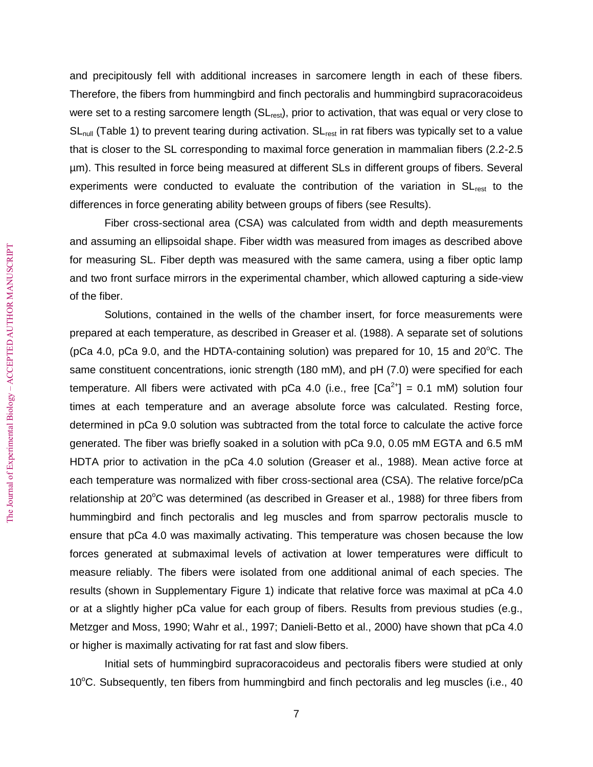and precipitously fell with additional increases in sarcomere length in each of these fibers. Therefore, the fibers from hummingbird and finch pectoralis and hummingbird supracoracoideus were set to a resting sarcomere length (SL<sub>rest</sub>), prior to activation, that was equal or very close to SL<sub>null</sub> (Table 1) to prevent tearing during activation. SL<sub>rest</sub> in rat fibers was typically set to a value that is closer to the SL corresponding to maximal force generation in mammalian fibers (2.2-2.5 µm). This resulted in force being measured at different SLs in different groups of fibers. Several experiments were conducted to evaluate the contribution of the variation in SL<sub>rest</sub> to the differences in force generating ability between groups of fibers (see Results).

Fiber cross-sectional area (CSA) was calculated from width and depth measurements and assuming an ellipsoidal shape. Fiber width was measured from images as described above for measuring SL. Fiber depth was measured with the same camera, using a fiber optic lamp and two front surface mirrors in the experimental chamber, which allowed capturing a side-view of the fiber.

Solutions, contained in the wells of the chamber insert, for force measurements were prepared at each temperature, as described in Greaser et al. (1988). A separate set of solutions (pCa 4.0, pCa 9.0, and the HDTA-containing solution) was prepared for 10, 15 and 20 $^{\circ}$ C. The same constituent concentrations, ionic strength (180 mM), and pH (7.0) were specified for each temperature. All fibers were activated with pCa 4.0 (i.e., free  $[Ca<sup>2+</sup>] = 0.1$  mM) solution four times at each temperature and an average absolute force was calculated. Resting force, determined in pCa 9.0 solution was subtracted from the total force to calculate the active force generated. The fiber was briefly soaked in a solution with pCa 9.0, 0.05 mM EGTA and 6.5 mM HDTA prior to activation in the pCa 4.0 solution (Greaser et al., 1988). Mean active force at each temperature was normalized with fiber cross-sectional area (CSA). The relative force/pCa relationship at 20 $\degree$ C was determined (as described in Greaser et al., 1988) for three fibers from hummingbird and finch pectoralis and leg muscles and from sparrow pectoralis muscle to ensure that pCa 4.0 was maximally activating. This temperature was chosen because the low forces generated at submaximal levels of activation at lower temperatures were difficult to measure reliably. The fibers were isolated from one additional animal of each species. The results (shown in Supplementary Figure 1) indicate that relative force was maximal at pCa 4.0 or at a slightly higher pCa value for each group of fibers. Results from previous studies (e.g., Metzger and Moss, 1990; Wahr et al., 1997; Danieli-Betto et al., 2000) have shown that pCa 4.0 or higher is maximally activating for rat fast and slow fibers.

Initial sets of hummingbird supracoracoideus and pectoralis fibers were studied at only 10 $\degree$ C. Subsequently, ten fibers from hummingbird and finch pectoralis and leg muscles (i.e., 40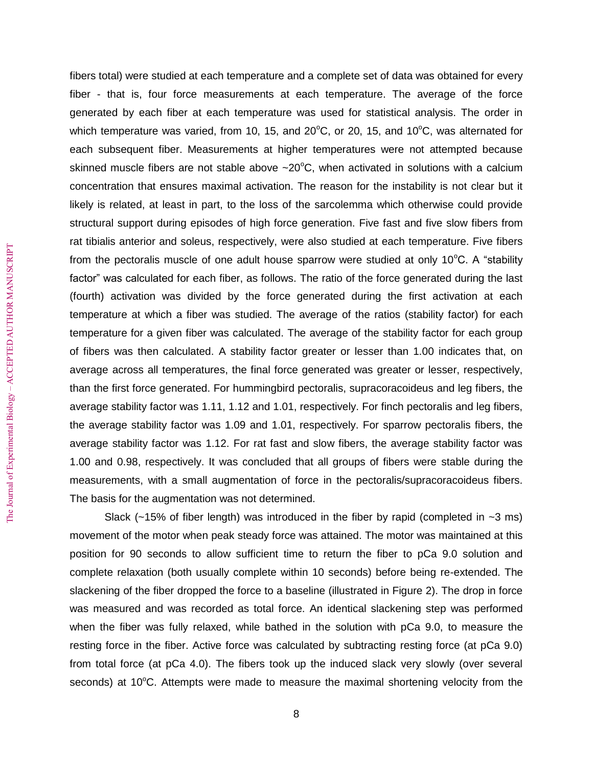fibers total) were studied at each temperature and a complete set of data was obtained for every fiber - that is, four force measurements at each temperature. The average of the force generated by each fiber at each temperature was used for statistical analysis. The order in which temperature was varied, from 10, 15, and 20 $\degree$ C, or 20, 15, and 10 $\degree$ C, was alternated for each subsequent fiber. Measurements at higher temperatures were not attempted because skinned muscle fibers are not stable above  $\sim$  20 $\degree$ C, when activated in solutions with a calcium concentration that ensures maximal activation. The reason for the instability is not clear but it likely is related, at least in part, to the loss of the sarcolemma which otherwise could provide structural support during episodes of high force generation. Five fast and five slow fibers from rat tibialis anterior and soleus, respectively, were also studied at each temperature. Five fibers from the pectoralis muscle of one adult house sparrow were studied at only  $10^{\circ}$ C. A "stability factor" was calculated for each fiber, as follows. The ratio of the force generated during the last (fourth) activation was divided by the force generated during the first activation at each temperature at which a fiber was studied. The average of the ratios (stability factor) for each temperature for a given fiber was calculated. The average of the stability factor for each group of fibers was then calculated. A stability factor greater or lesser than 1.00 indicates that, on average across all temperatures, the final force generated was greater or lesser, respectively, than the first force generated. For hummingbird pectoralis, supracoracoideus and leg fibers, the average stability factor was 1.11, 1.12 and 1.01, respectively. For finch pectoralis and leg fibers, the average stability factor was 1.09 and 1.01, respectively. For sparrow pectoralis fibers, the average stability factor was 1.12. For rat fast and slow fibers, the average stability factor was 1.00 and 0.98, respectively. It was concluded that all groups of fibers were stable during the measurements, with a small augmentation of force in the pectoralis/supracoracoideus fibers. The basis for the augmentation was not determined.

Slack ( $\sim$ 15% of fiber length) was introduced in the fiber by rapid (completed in  $\sim$ 3 ms) movement of the motor when peak steady force was attained. The motor was maintained at this position for 90 seconds to allow sufficient time to return the fiber to pCa 9.0 solution and complete relaxation (both usually complete within 10 seconds) before being re-extended. The slackening of the fiber dropped the force to a baseline (illustrated in Figure 2). The drop in force was measured and was recorded as total force. An identical slackening step was performed when the fiber was fully relaxed, while bathed in the solution with pCa 9.0, to measure the resting force in the fiber. Active force was calculated by subtracting resting force (at pCa 9.0) from total force (at pCa 4.0). The fibers took up the induced slack very slowly (over several seconds) at 10 $\degree$ C. Attempts were made to measure the maximal shortening velocity from the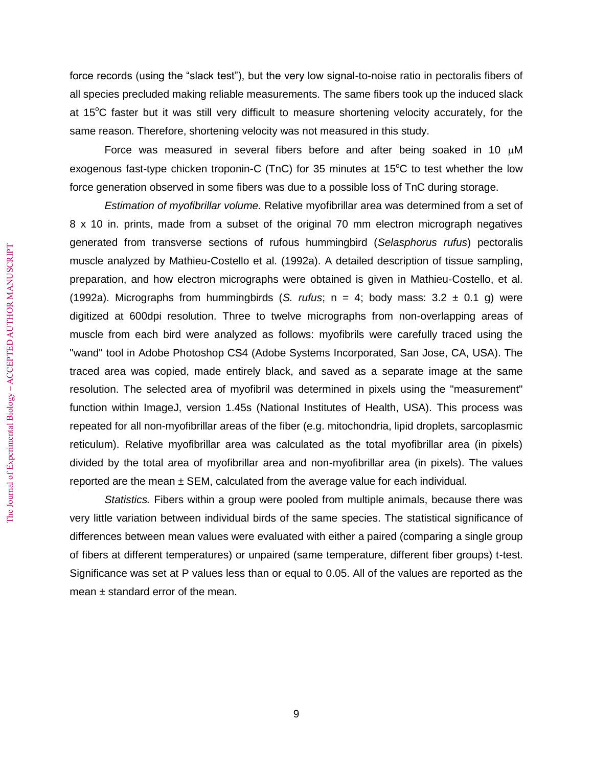force records (using the "slack test"), but the very low signal-to-noise ratio in pectoralis fibers of all species precluded making reliable measurements. The same fibers took up the induced slack at 15<sup>o</sup>C faster but it was still very difficult to measure shortening velocity accurately, for the same reason. Therefore, shortening velocity was not measured in this study.

Force was measured in several fibers before and after being soaked in 10  $\mu$ M exogenous fast-type chicken troponin-C (TnC) for 35 minutes at  $15^{\circ}$ C to test whether the low force generation observed in some fibers was due to a possible loss of TnC during storage.

*Estimation of myofibrillar volume.* Relative myofibrillar area was determined from a set of 8 x 10 in. prints, made from a subset of the original 70 mm electron micrograph negatives generated from transverse sections of rufous hummingbird (*Selasphorus rufus*) pectoralis muscle analyzed by Mathieu-Costello et al. (1992a). A detailed description of tissue sampling, preparation, and how electron micrographs were obtained is given in Mathieu-Costello, et al. (1992a). Micrographs from hummingbirds (*S. rufus*;  $n = 4$ ; body mass: 3.2  $\pm$  0.1 g) were digitized at 600dpi resolution. Three to twelve micrographs from non-overlapping areas of muscle from each bird were analyzed as follows: myofibrils were carefully traced using the "wand" tool in Adobe Photoshop CS4 (Adobe Systems Incorporated, San Jose, CA, USA). The traced area was copied, made entirely black, and saved as a separate image at the same resolution. The selected area of myofibril was determined in pixels using the "measurement" function within ImageJ, version 1.45s (National Institutes of Health, USA). This process was repeated for all non-myofibrillar areas of the fiber (e.g. mitochondria, lipid droplets, sarcoplasmic reticulum). Relative myofibrillar area was calculated as the total myofibrillar area (in pixels) divided by the total area of myofibrillar area and non-myofibrillar area (in pixels). The values reported are the mean  $\pm$  SEM, calculated from the average value for each individual.

*Statistics.* Fibers within a group were pooled from multiple animals, because there was very little variation between individual birds of the same species. The statistical significance of differences between mean values were evaluated with either a paired (comparing a single group of fibers at different temperatures) or unpaired (same temperature, different fiber groups) t-test. Significance was set at P values less than or equal to 0.05. All of the values are reported as the mean  $\pm$  standard error of the mean.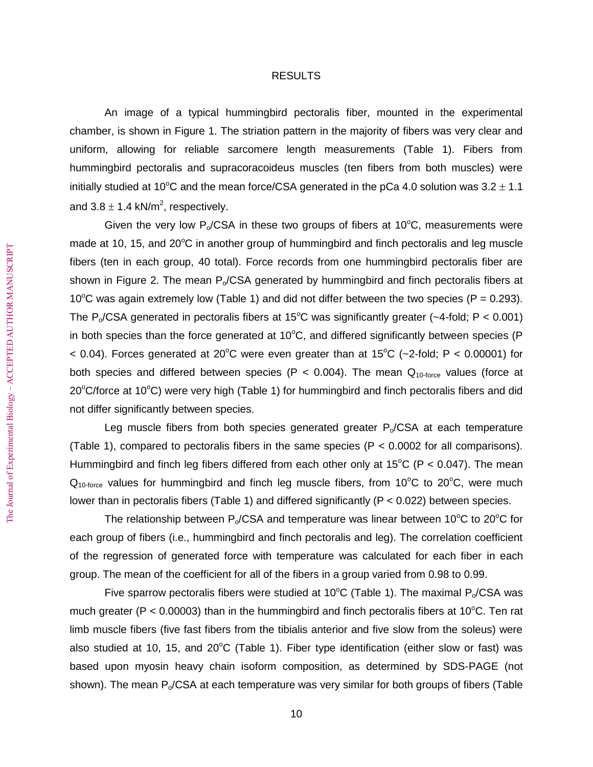### RESULTS

An image of a typical hummingbird pectoralis fiber, mounted in the experimental chamber, is shown in Figure 1. The striation pattern in the majority of fibers was very clear and uniform, allowing for reliable sarcomere length measurements (Table 1). Fibers from hummingbird pectoralis and supracoracoideus muscles (ten fibers from both muscles) were initially studied at 10<sup>o</sup>C and the mean force/CSA generated in the pCa 4.0 solution was  $3.2 \pm 1.1$ and 3.8  $\pm$  1.4 kN/m<sup>2</sup>, respectively.

Given the very low  $P_0/CSA$  in these two groups of fibers at 10 $^{\circ}$ C, measurements were made at 10, 15, and  $20^{\circ}$ C in another group of hummingbird and finch pectoralis and leg muscle fibers (ten in each group, 40 total). Force records from one hummingbird pectoralis fiber are shown in Figure 2. The mean  $P_0/CSA$  generated by hummingbird and finch pectoralis fibers at 10<sup>o</sup>C was again extremely low (Table 1) and did not differ between the two species (P = 0.293). The P<sub>o</sub>/CSA generated in pectoralis fibers at 15<sup>o</sup>C was significantly greater (~4-fold; P < 0.001) in both species than the force generated at  $10^{\circ}$ C, and differed significantly between species (P  $<$  0.04). Forces generated at 20°C were even greater than at 15°C (~2-fold; P  $<$  0.00001) for both species and differed between species (P < 0.004). The mean  $Q_{10\text{-}force}$  values (force at  $20^{\circ}$ C/force at 10 $^{\circ}$ C) were very high (Table 1) for hummingbird and finch pectoralis fibers and did not differ significantly between species.

Leg muscle fibers from both species generated greater  $P_0/CSA$  at each temperature (Table 1), compared to pectoralis fibers in the same species (P < 0.0002 for all comparisons). Hummingbird and finch leg fibers differed from each other only at  $15^{\circ}$ C (P < 0.047). The mean  $Q_{10\text{-force}}$  values for hummingbird and finch leg muscle fibers, from 10°C to 20°C, were much lower than in pectoralis fibers (Table 1) and differed significantly (P < 0.022) between species.

The relationship between  $P_0/CSA$  and temperature was linear between 10<sup>o</sup>C to 20<sup>o</sup>C for each group of fibers (i.e., hummingbird and finch pectoralis and leg). The correlation coefficient of the regression of generated force with temperature was calculated for each fiber in each group. The mean of the coefficient for all of the fibers in a group varied from 0.98 to 0.99.

Five sparrow pectoralis fibers were studied at 10<sup>o</sup>C (Table 1). The maximal P<sub>o</sub>/CSA was much greater (P < 0.00003) than in the hummingbird and finch pectoralis fibers at 10 $\degree$ C. Ten rat limb muscle fibers (five fast fibers from the tibialis anterior and five slow from the soleus) were also studied at 10, 15, and  $20^{\circ}$ C (Table 1). Fiber type identification (either slow or fast) was based upon myosin heavy chain isoform composition, as determined by SDS-PAGE (not shown). The mean  $P_0/CSA$  at each temperature was very similar for both groups of fibers (Table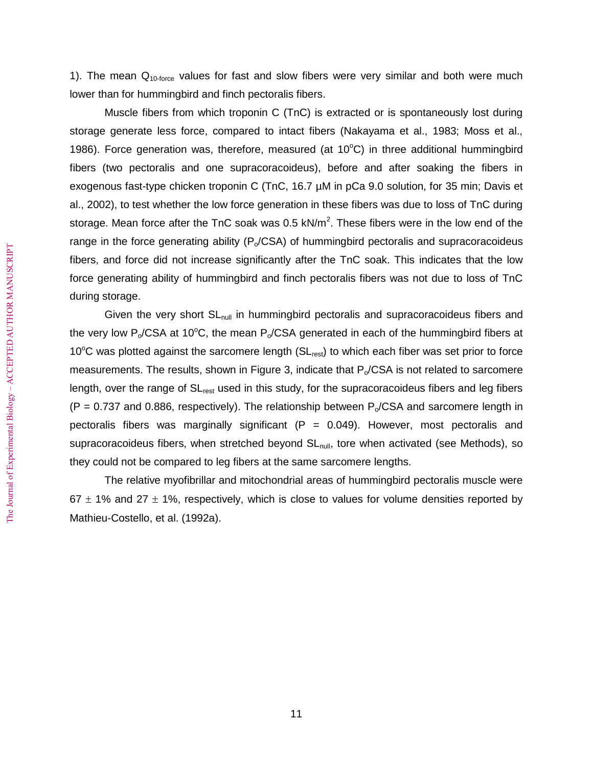1). The mean  $Q<sub>10-force</sub>$  values for fast and slow fibers were very similar and both were much lower than for hummingbird and finch pectoralis fibers.

Muscle fibers from which troponin C (TnC) is extracted or is spontaneously lost during storage generate less force, compared to intact fibers (Nakayama et al., 1983; Moss et al., 1986). Force generation was, therefore, measured (at  $10^{\circ}$ C) in three additional hummingbird fibers (two pectoralis and one supracoracoideus), before and after soaking the fibers in exogenous fast-type chicken troponin C (TnC, 16.7 µM in pCa 9.0 solution, for 35 min; Davis et al., 2002), to test whether the low force generation in these fibers was due to loss of TnC during storage. Mean force after the TnC soak was 0.5 kN/m<sup>2</sup>. These fibers were in the low end of the range in the force generating ability ( $P_o/CSA$ ) of hummingbird pectoralis and supracoracoideus fibers, and force did not increase significantly after the TnC soak. This indicates that the low force generating ability of hummingbird and finch pectoralis fibers was not due to loss of TnC during storage.

Given the very short  $SL<sub>null</sub>$  in hummingbird pectoralis and supracoracoideus fibers and the very low  $P_0/CSA$  at 10<sup>o</sup>C, the mean  $P_0/CSA$  generated in each of the hummingbird fibers at 10 $\degree$ C was plotted against the sarcomere length (SL<sub>rest</sub>) to which each fiber was set prior to force measurements. The results, shown in Figure 3, indicate that  $P_0/CSA$  is not related to sarcomere length, over the range of SL<sub>rest</sub> used in this study, for the supracoracoideus fibers and leg fibers  $(P = 0.737$  and 0.886, respectively). The relationship between  $P_0/CSA$  and sarcomere length in pectoralis fibers was marginally significant  $(P = 0.049)$ . However, most pectoralis and supracoracoideus fibers, when stretched beyond  $SL<sub>null</sub>$ , tore when activated (see Methods), so they could not be compared to leg fibers at the same sarcomere lengths.

The relative myofibrillar and mitochondrial areas of hummingbird pectoralis muscle were 67  $\pm$  1% and 27  $\pm$  1%, respectively, which is close to values for volume densities reported by Mathieu-Costello, et al. (1992a).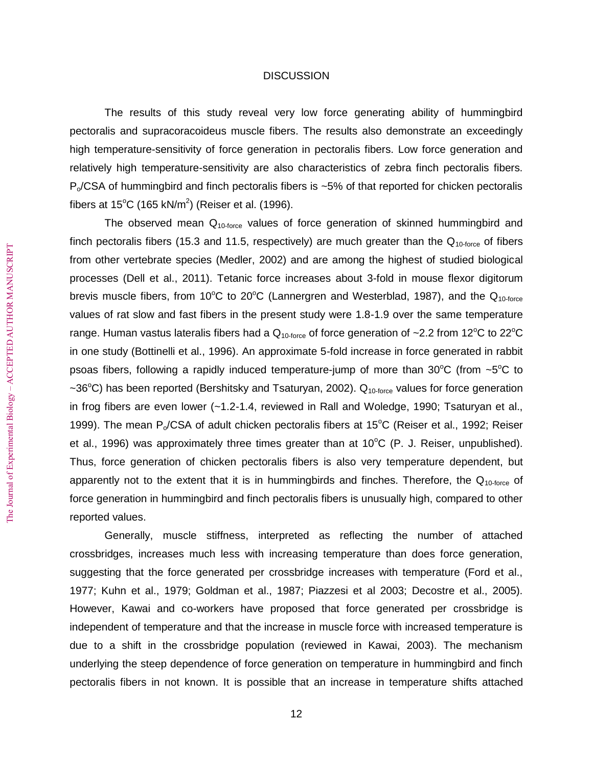# **DISCUSSION**

The results of this study reveal very low force generating ability of hummingbird pectoralis and supracoracoideus muscle fibers. The results also demonstrate an exceedingly high temperature-sensitivity of force generation in pectoralis fibers. Low force generation and relatively high temperature-sensitivity are also characteristics of zebra finch pectoralis fibers.  $P<sub>o</sub>/CSA$  of hummingbird and finch pectoralis fibers is ~5% of that reported for chicken pectoralis fibers at 15°C (165 kN/m<sup>2</sup>) (Reiser et al. (1996).

The observed mean  $Q_{10\text{-}force}$  values of force generation of skinned hummingbird and finch pectoralis fibers (15.3 and 11.5, respectively) are much greater than the  $Q<sub>10-force</sub>$  of fibers from other vertebrate species (Medler, 2002) and are among the highest of studied biological processes (Dell et al., 2011). Tetanic force increases about 3-fold in mouse flexor digitorum brevis muscle fibers, from 10°C to 20°C (Lannergren and Westerblad, 1987), and the  $Q_{10\text{-}force}$ values of rat slow and fast fibers in the present study were 1.8-1.9 over the same temperature range. Human vastus lateralis fibers had a  $Q_{10\text{-force}}$  of force generation of ~2.2 from 12<sup>o</sup>C to 22<sup>o</sup>C in one study (Bottinelli et al., 1996). An approximate 5-fold increase in force generated in rabbit psoas fibers, following a rapidly induced temperature-jump of more than  $30^{\circ}$ C (from ~5<sup>o</sup>C to ~36°C) has been reported (Bershitsky and Tsaturyan, 2002).  $Q_{10\text{-}force}$  values for force generation in frog fibers are even lower (~1.2-1.4, reviewed in Rall and Woledge, 1990; Tsaturyan et al., 1999). The mean  $P_0/CSA$  of adult chicken pectoralis fibers at 15<sup>o</sup>C (Reiser et al., 1992; Reiser et al., 1996) was approximately three times greater than at  $10^{\circ}$ C (P. J. Reiser, unpublished). Thus, force generation of chicken pectoralis fibers is also very temperature dependent, but apparently not to the extent that it is in hummingbirds and finches. Therefore, the  $Q_{10\text{-force}}$  of force generation in hummingbird and finch pectoralis fibers is unusually high, compared to other reported values.

Generally, muscle stiffness, interpreted as reflecting the number of attached crossbridges, increases much less with increasing temperature than does force generation, suggesting that the force generated per crossbridge increases with temperature (Ford et al., 1977; Kuhn et al., 1979; Goldman et al., 1987; Piazzesi et al 2003; Decostre et al., 2005). However, Kawai and co-workers have proposed that force generated per crossbridge is independent of temperature and that the increase in muscle force with increased temperature is due to a shift in the crossbridge population (reviewed in Kawai, 2003). The mechanism underlying the steep dependence of force generation on temperature in hummingbird and finch pectoralis fibers in not known. It is possible that an increase in temperature shifts attached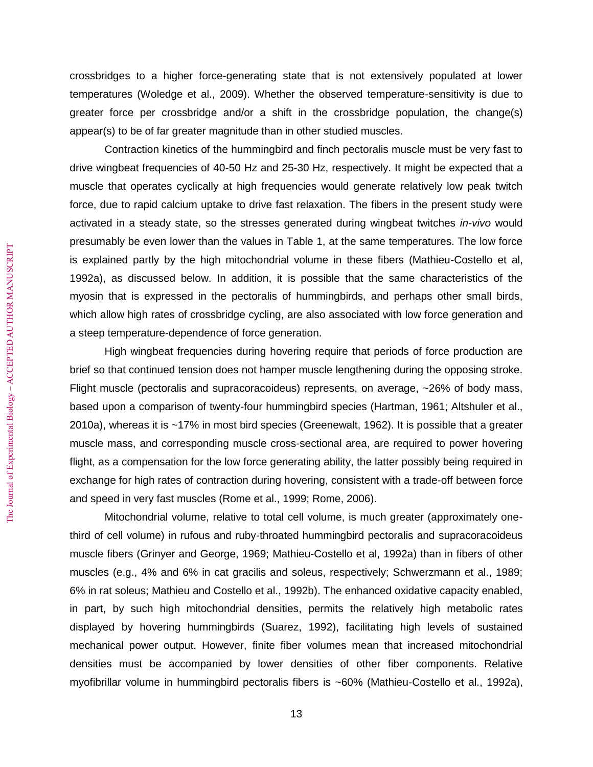crossbridges to a higher force-generating state that is not extensively populated at lower temperatures (Woledge et al., 2009). Whether the observed temperature-sensitivity is due to greater force per crossbridge and/or a shift in the crossbridge population, the change(s) appear(s) to be of far greater magnitude than in other studied muscles.

Contraction kinetics of the hummingbird and finch pectoralis muscle must be very fast to drive wingbeat frequencies of 40-50 Hz and 25-30 Hz, respectively. It might be expected that a muscle that operates cyclically at high frequencies would generate relatively low peak twitch force, due to rapid calcium uptake to drive fast relaxation. The fibers in the present study were activated in a steady state, so the stresses generated during wingbeat twitches *in-vivo* would presumably be even lower than the values in Table 1, at the same temperatures. The low force is explained partly by the high mitochondrial volume in these fibers (Mathieu-Costello et al, 1992a), as discussed below. In addition, it is possible that the same characteristics of the myosin that is expressed in the pectoralis of hummingbirds, and perhaps other small birds, which allow high rates of crossbridge cycling, are also associated with low force generation and a steep temperature-dependence of force generation.

High wingbeat frequencies during hovering require that periods of force production are brief so that continued tension does not hamper muscle lengthening during the opposing stroke. Flight muscle (pectoralis and supracoracoideus) represents, on average, ~26% of body mass, based upon a comparison of twenty-four hummingbird species (Hartman, 1961; Altshuler et al., 2010a), whereas it is ~17% in most bird species (Greenewalt, 1962). It is possible that a greater muscle mass, and corresponding muscle cross-sectional area, are required to power hovering flight, as a compensation for the low force generating ability, the latter possibly being required in exchange for high rates of contraction during hovering, consistent with a trade-off between force and speed in very fast muscles (Rome et al., 1999; Rome, 2006).

Mitochondrial volume, relative to total cell volume, is much greater (approximately onethird of cell volume) in rufous and ruby-throated hummingbird pectoralis and supracoracoideus muscle fibers (Grinyer and George, 1969; Mathieu-Costello et al, 1992a) than in fibers of other muscles (e.g., 4% and 6% in cat gracilis and soleus, respectively; Schwerzmann et al., 1989; 6% in rat soleus; Mathieu and Costello et al., 1992b). The enhanced oxidative capacity enabled, in part, by such high mitochondrial densities, permits the relatively high metabolic rates displayed by hovering hummingbirds (Suarez, 1992), facilitating high levels of sustained mechanical power output. However, finite fiber volumes mean that increased mitochondrial densities must be accompanied by lower densities of other fiber components. Relative myofibrillar volume in hummingbird pectoralis fibers is ~60% (Mathieu-Costello et al., 1992a),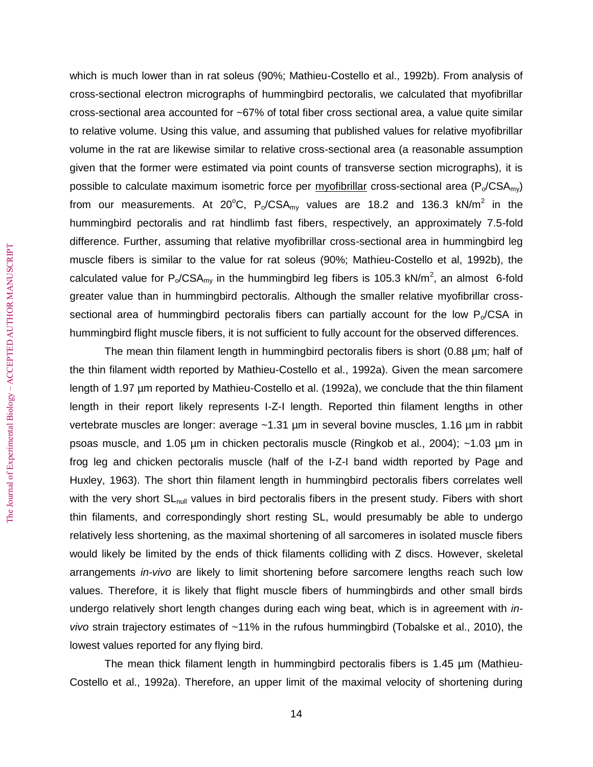which is much lower than in rat soleus (90%; Mathieu-Costello et al., 1992b). From analysis of cross-sectional electron micrographs of hummingbird pectoralis, we calculated that myofibrillar cross-sectional area accounted for ~67% of total fiber cross sectional area, a value quite similar to relative volume. Using this value, and assuming that published values for relative myofibrillar volume in the rat are likewise similar to relative cross-sectional area (a reasonable assumption given that the former were estimated via point counts of transverse section micrographs), it is possible to calculate maximum isometric force per myofibrillar cross-sectional area ( $P_0/CSA_{mv}$ ) from our measurements. At 20°C,  $P_o / CSA_{my}$  values are 18.2 and 136.3 kN/m<sup>2</sup> in the hummingbird pectoralis and rat hindlimb fast fibers, respectively, an approximately 7.5-fold difference. Further, assuming that relative myofibrillar cross-sectional area in hummingbird leg muscle fibers is similar to the value for rat soleus (90%; Mathieu-Costello et al, 1992b), the calculated value for P<sub>o</sub>/CSA<sub>my</sub> in the hummingbird leg fibers is 105.3 kN/m<sup>2</sup>, an almost 6-fold greater value than in hummingbird pectoralis. Although the smaller relative myofibrillar crosssectional area of hummingbird pectoralis fibers can partially account for the low  $P_0/CSA$  in hummingbird flight muscle fibers, it is not sufficient to fully account for the observed differences.

The mean thin filament length in hummingbird pectoralis fibers is short (0.88 µm; half of the thin filament width reported by Mathieu-Costello et al., 1992a). Given the mean sarcomere length of 1.97 µm reported by Mathieu-Costello et al. (1992a), we conclude that the thin filament length in their report likely represents I-Z-I length. Reported thin filament lengths in other vertebrate muscles are longer: average ~1.31 µm in several bovine muscles, 1.16 µm in rabbit psoas muscle, and 1.05 µm in chicken pectoralis muscle (Ringkob et al., 2004); ~1.03 µm in frog leg and chicken pectoralis muscle (half of the I-Z-I band width reported by Page and Huxley, 1963). The short thin filament length in hummingbird pectoralis fibers correlates well with the very short SL<sub>null</sub> values in bird pectoralis fibers in the present study. Fibers with short thin filaments, and correspondingly short resting SL, would presumably be able to undergo relatively less shortening, as the maximal shortening of all sarcomeres in isolated muscle fibers would likely be limited by the ends of thick filaments colliding with Z discs. However, skeletal arrangements *in-vivo* are likely to limit shortening before sarcomere lengths reach such low values. Therefore, it is likely that flight muscle fibers of hummingbirds and other small birds undergo relatively short length changes during each wing beat, which is in agreement with *invivo* strain trajectory estimates of ~11% in the rufous hummingbird (Tobalske et al., 2010), the lowest values reported for any flying bird.

The mean thick filament length in hummingbird pectoralis fibers is 1.45 µm (Mathieu-Costello et al., 1992a). Therefore, an upper limit of the maximal velocity of shortening during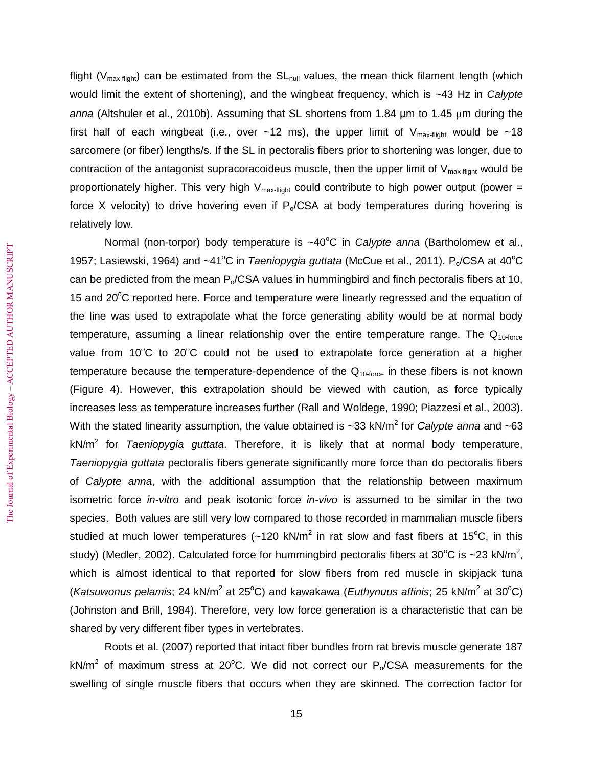flight ( $V_{\text{max-flat}}$ ) can be estimated from the  $SL_{\text{null}}$  values, the mean thick filament length (which would limit the extent of shortening), and the wingbeat frequency, which is ~43 Hz in *Calypte*  anna (Altshuler et al., 2010b). Assuming that SL shortens from 1.84 um to 1.45 um during the first half of each wingbeat (i.e., over ~12 ms), the upper limit of  $V_{max\t{-}flight}$  would be ~18 sarcomere (or fiber) lengths/s. If the SL in pectoralis fibers prior to shortening was longer, due to contraction of the antagonist supracoracoideus muscle, then the upper limit of  $V_{\text{max-flight}}$  would be proportionately higher. This very high  $V_{\text{max-fliath}}$  could contribute to high power output (power = force X velocity) to drive hovering even if  $P_0/CSA$  at body temperatures during hovering is relatively low.

Normal (non-torpor) body temperature is ~40°C in *Calypte anna* (Bartholomew et al., 1957; Lasiewski, 1964) and ~41°C in *Taeniopygia guttata* (McCue et al., 2011). P<sub>o</sub>/CSA at 40°C can be predicted from the mean  $P_0/CSA$  values in hummingbird and finch pectoralis fibers at 10, 15 and  $20^{\circ}$ C reported here. Force and temperature were linearly regressed and the equation of the line was used to extrapolate what the force generating ability would be at normal body temperature, assuming a linear relationship over the entire temperature range. The  $Q_{10\text{-}force}$ value from  $10^{\circ}$ C to  $20^{\circ}$ C could not be used to extrapolate force generation at a higher temperature because the temperature-dependence of the  $Q<sub>10-force</sub>$  in these fibers is not known (Figure 4). However, this extrapolation should be viewed with caution, as force typically increases less as temperature increases further (Rall and Woldege, 1990; Piazzesi et al., 2003). With the stated linearity assumption, the value obtained is ~33 kN/m<sup>2</sup> for *Calypte anna* and ~63 kN/m<sup>2</sup> for *Taeniopygia guttata*. Therefore, it is likely that at normal body temperature, *Taeniopygia guttata* pectoralis fibers generate significantly more force than do pectoralis fibers of *Calypte anna*, with the additional assumption that the relationship between maximum isometric force *in-vitro* and peak isotonic force *in-vivo* is assumed to be similar in the two species. Both values are still very low compared to those recorded in mammalian muscle fibers studied at much lower temperatures (~120 kN/m<sup>2</sup> in rat slow and fast fibers at 15<sup>o</sup>C, in this study) (Medler, 2002). Calculated force for hummingbird pectoralis fibers at 30°C is ~23 kN/m<sup>2</sup>, which is almost identical to that reported for slow fibers from red muscle in skipjack tuna (Katsuwonus pelamis; 24 kN/m<sup>2</sup> at 25°C) and kawakawa (Euthynuus affinis; 25 kN/m<sup>2</sup> at 30°C) (Johnston and Brill, 1984). Therefore, very low force generation is a characteristic that can be shared by very different fiber types in vertebrates.

Roots et al. (2007) reported that intact fiber bundles from rat brevis muscle generate 187 kN/m<sup>2</sup> of maximum stress at 20°C. We did not correct our P<sub>o</sub>/CSA measurements for the swelling of single muscle fibers that occurs when they are skinned. The correction factor for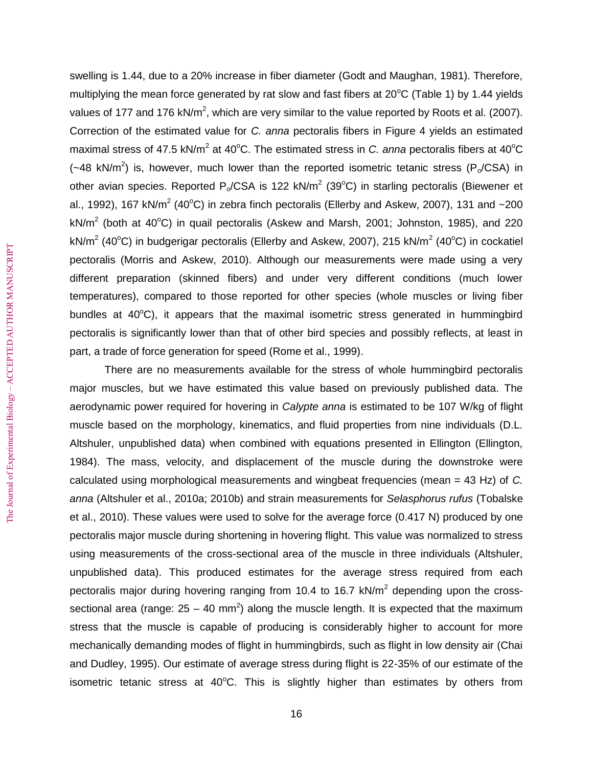swelling is 1.44, due to a 20% increase in fiber diameter (Godt and Maughan, 1981). Therefore, multiplying the mean force generated by rat slow and fast fibers at  $20^{\circ}$ C (Table 1) by 1.44 yields values of 177 and 176 kN/m<sup>2</sup>, which are very similar to the value reported by Roots et al. (2007). Correction of the estimated value for *C. anna* pectoralis fibers in Figure 4 yields an estimated maximal stress of 47.5 kN/m<sup>2</sup> at 40°C. The estimated stress in *C. anna* pectoralis fibers at 40°C ( $\sim$ 48 kN/m<sup>2</sup>) is, however, much lower than the reported isometric tetanic stress (P<sub>o</sub>/CSA) in other avian species. Reported P<sub>o</sub>/CSA is 122 kN/m<sup>2</sup> (39°C) in starling pectoralis (Biewener et al., 1992), 167 kN/m<sup>2</sup> (40°C) in zebra finch pectoralis (Ellerby and Askew, 2007), 131 and ~200 kN/m<sup>2</sup> (both at 40°C) in quail pectoralis (Askew and Marsh, 2001; Johnston, 1985), and 220 kN/m<sup>2</sup> (40°C) in budgerigar pectoralis (Ellerby and Askew, 2007), 215 kN/m<sup>2</sup> (40°C) in cockatiel pectoralis (Morris and Askew, 2010). Although our measurements were made using a very different preparation (skinned fibers) and under very different conditions (much lower temperatures), compared to those reported for other species (whole muscles or living fiber bundles at  $40^{\circ}$ C), it appears that the maximal isometric stress generated in hummingbird pectoralis is significantly lower than that of other bird species and possibly reflects, at least in part, a trade of force generation for speed (Rome et al., 1999).

There are no measurements available for the stress of whole hummingbird pectoralis major muscles, but we have estimated this value based on previously published data. The aerodynamic power required for hovering in *Calypte anna* is estimated to be 107 W/kg of flight muscle based on the morphology, kinematics, and fluid properties from nine individuals (D.L. Altshuler, unpublished data) when combined with equations presented in Ellington (Ellington, 1984). The mass, velocity, and displacement of the muscle during the downstroke were calculated using morphological measurements and wingbeat frequencies (mean = 43 Hz) of *C. anna* (Altshuler et al., 2010a; 2010b) and strain measurements for *Selasphorus rufus* (Tobalske et al., 2010). These values were used to solve for the average force (0.417 N) produced by one pectoralis major muscle during shortening in hovering flight. This value was normalized to stress using measurements of the cross-sectional area of the muscle in three individuals (Altshuler, unpublished data). This produced estimates for the average stress required from each pectoralis major during hovering ranging from 10.4 to 16.7 kN/m<sup>2</sup> depending upon the crosssectional area (range:  $25 - 40$  mm<sup>2</sup>) along the muscle length. It is expected that the maximum stress that the muscle is capable of producing is considerably higher to account for more mechanically demanding modes of flight in hummingbirds, such as flight in low density air (Chai and Dudley, 1995). Our estimate of average stress during flight is 22-35% of our estimate of the isometric tetanic stress at  $40^{\circ}$ C. This is slightly higher than estimates by others from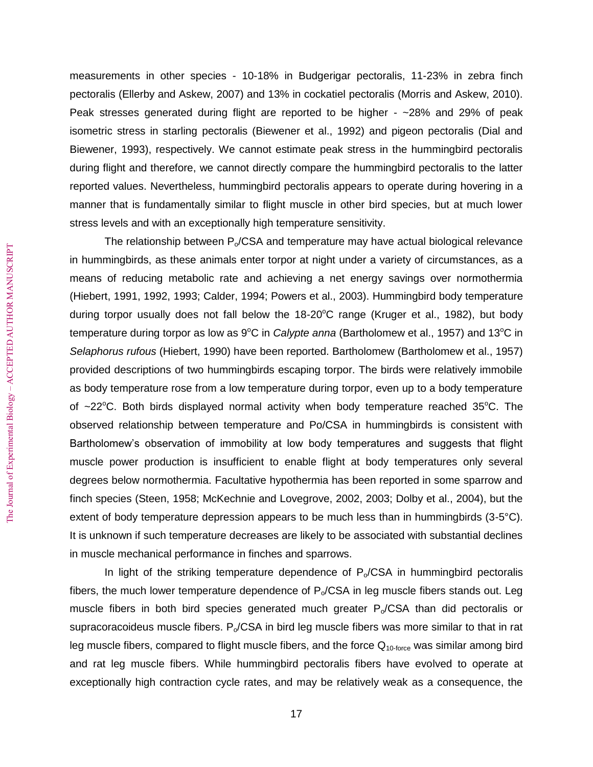measurements in other species - 10-18% in Budgerigar pectoralis, 11-23% in zebra finch pectoralis (Ellerby and Askew, 2007) and 13% in cockatiel pectoralis (Morris and Askew, 2010). Peak stresses generated during flight are reported to be higher - ~28% and 29% of peak isometric stress in starling pectoralis (Biewener et al., 1992) and pigeon pectoralis (Dial and Biewener, 1993), respectively. We cannot estimate peak stress in the hummingbird pectoralis during flight and therefore, we cannot directly compare the hummingbird pectoralis to the latter reported values. Nevertheless, hummingbird pectoralis appears to operate during hovering in a manner that is fundamentally similar to flight muscle in other bird species, but at much lower stress levels and with an exceptionally high temperature sensitivity.

The relationship between  $P_{o}/CSA$  and temperature may have actual biological relevance in hummingbirds, as these animals enter torpor at night under a variety of circumstances, as a means of reducing metabolic rate and achieving a net energy savings over normothermia (Hiebert, 1991, 1992, 1993; Calder, 1994; Powers et al., 2003). Hummingbird body temperature during torpor usually does not fall below the  $18-20^{\circ}$ C range (Kruger et al., 1982), but body temperature during torpor as low as 9<sup>o</sup>C in *Calypte anna* (Bartholomew et al., 1957) and 13<sup>o</sup>C in *Selaphorus rufous* (Hiebert, 1990) have been reported. Bartholomew (Bartholomew et al., 1957) provided descriptions of two hummingbirds escaping torpor. The birds were relatively immobile as body temperature rose from a low temperature during torpor, even up to a body temperature of  $\sim$ 22 $\degree$ C. Both birds displayed normal activity when body temperature reached 35 $\degree$ C. The observed relationship between temperature and Po/CSA in hummingbirds is consistent with Bartholomew's observation of immobility at low body temperatures and suggests that flight muscle power production is insufficient to enable flight at body temperatures only several degrees below normothermia. Facultative hypothermia has been reported in some sparrow and finch species (Steen, 1958; McKechnie and Lovegrove, 2002, 2003; Dolby et al., 2004), but the extent of body temperature depression appears to be much less than in hummingbirds (3-5°C). It is unknown if such temperature decreases are likely to be associated with substantial declines in muscle mechanical performance in finches and sparrows.

In light of the striking temperature dependence of  $P_0/CSA$  in humming bird pectoralis fibers, the much lower temperature dependence of  $P_0/CSA$  in leg muscle fibers stands out. Leg muscle fibers in both bird species generated much greater  $P_0/CSA$  than did pectoralis or supracoracoideus muscle fibers.  $P_0/CSA$  in bird leg muscle fibers was more similar to that in rat leg muscle fibers, compared to flight muscle fibers, and the force  $Q<sub>10-force</sub>$  was similar among bird and rat leg muscle fibers. While hummingbird pectoralis fibers have evolved to operate at exceptionally high contraction cycle rates, and may be relatively weak as a consequence, the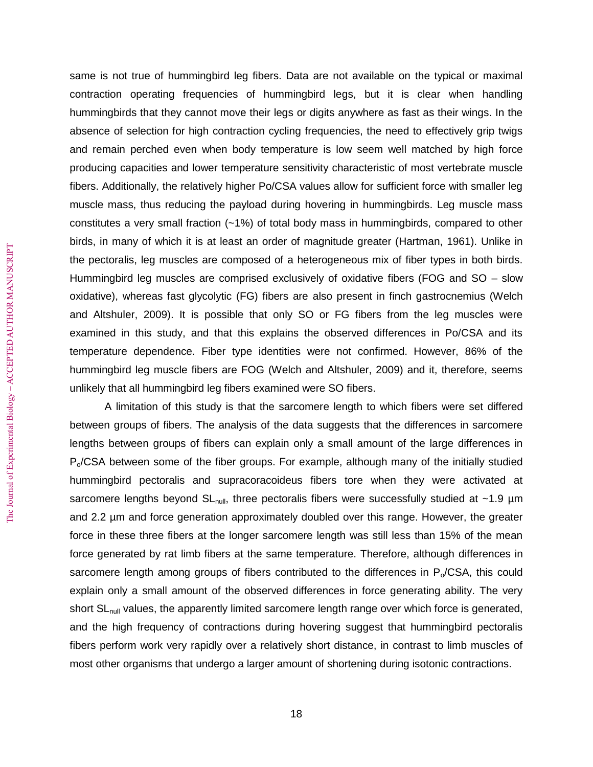same is not true of hummingbird leg fibers. Data are not available on the typical or maximal contraction operating frequencies of hummingbird legs, but it is clear when handling hummingbirds that they cannot move their legs or digits anywhere as fast as their wings. In the absence of selection for high contraction cycling frequencies, the need to effectively grip twigs and remain perched even when body temperature is low seem well matched by high force producing capacities and lower temperature sensitivity characteristic of most vertebrate muscle fibers. Additionally, the relatively higher Po/CSA values allow for sufficient force with smaller leg muscle mass, thus reducing the payload during hovering in hummingbirds. Leg muscle mass constitutes a very small fraction (~1%) of total body mass in hummingbirds, compared to other birds, in many of which it is at least an order of magnitude greater (Hartman, 1961). Unlike in the pectoralis, leg muscles are composed of a heterogeneous mix of fiber types in both birds. Hummingbird leg muscles are comprised exclusively of oxidative fibers (FOG and SO – slow oxidative), whereas fast glycolytic (FG) fibers are also present in finch gastrocnemius (Welch and Altshuler, 2009). It is possible that only SO or FG fibers from the leg muscles were examined in this study, and that this explains the observed differences in Po/CSA and its temperature dependence. Fiber type identities were not confirmed. However, 86% of the hummingbird leg muscle fibers are FOG (Welch and Altshuler, 2009) and it, therefore, seems unlikely that all hummingbird leg fibers examined were SO fibers.

A limitation of this study is that the sarcomere length to which fibers were set differed between groups of fibers. The analysis of the data suggests that the differences in sarcomere lengths between groups of fibers can explain only a small amount of the large differences in  $P<sub>o</sub>/CSA$  between some of the fiber groups. For example, although many of the initially studied hummingbird pectoralis and supracoracoideus fibers tore when they were activated at sarcomere lengths beyond  $SL_{null}$ , three pectoralis fibers were successfully studied at ~1.9  $\mu$ m and 2.2 µm and force generation approximately doubled over this range. However, the greater force in these three fibers at the longer sarcomere length was still less than 15% of the mean force generated by rat limb fibers at the same temperature. Therefore, although differences in sarcomere length among groups of fibers contributed to the differences in  $P_0/CSA$ , this could explain only a small amount of the observed differences in force generating ability. The very short SL<sub>null</sub> values, the apparently limited sarcomere length range over which force is generated, and the high frequency of contractions during hovering suggest that hummingbird pectoralis fibers perform work very rapidly over a relatively short distance, in contrast to limb muscles of most other organisms that undergo a larger amount of shortening during isotonic contractions.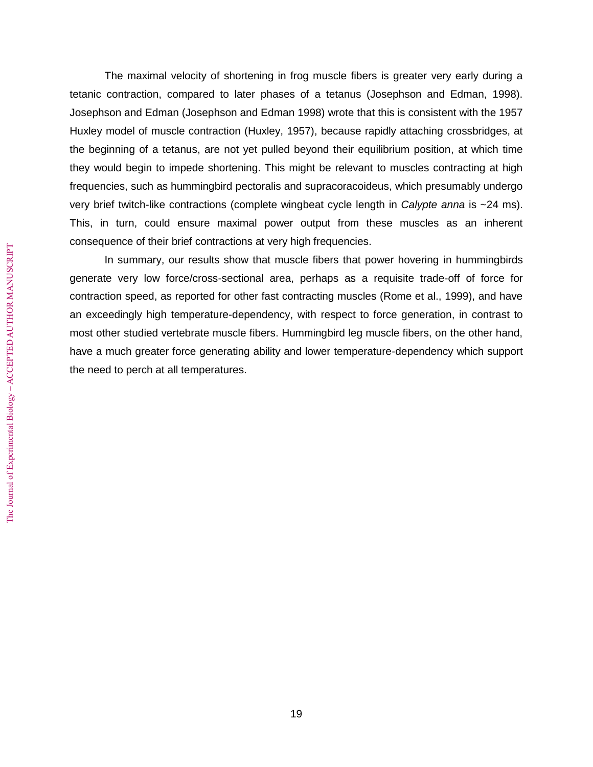The maximal velocity of shortening in frog muscle fibers is greater very early during a tetanic contraction, compared to later phases of a tetanus (Josephson and Edman, 1998). Josephson and Edman (Josephson and Edman 1998) wrote that this is consistent with the 1957 Huxley model of muscle contraction (Huxley, 1957), because rapidly attaching crossbridges, at the beginning of a tetanus, are not yet pulled beyond their equilibrium position, at which time they would begin to impede shortening. This might be relevant to muscles contracting at high frequencies, such as hummingbird pectoralis and supracoracoideus, which presumably undergo very brief twitch-like contractions (complete wingbeat cycle length in *Calypte anna* is ~24 ms). This, in turn, could ensure maximal power output from these muscles as an inherent consequence of their brief contractions at very high frequencies.

In summary, our results show that muscle fibers that power hovering in hummingbirds generate very low force/cross-sectional area, perhaps as a requisite trade-off of force for contraction speed, as reported for other fast contracting muscles (Rome et al., 1999), and have an exceedingly high temperature-dependency, with respect to force generation, in contrast to most other studied vertebrate muscle fibers. Hummingbird leg muscle fibers, on the other hand, have a much greater force generating ability and lower temperature-dependency which support the need to perch at all temperatures.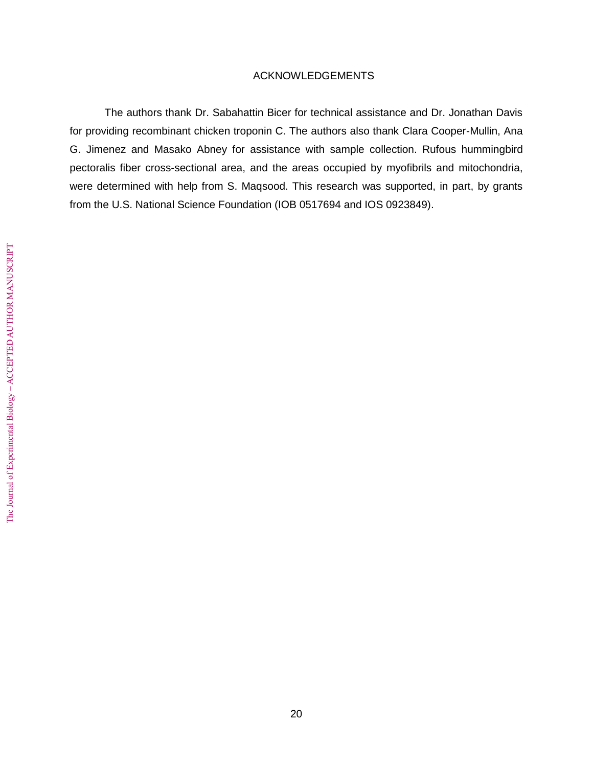# ACKNOWLEDGEMENTS

The authors thank Dr. Sabahattin Bicer for technical assistance and Dr. Jonathan Davis for providing recombinant chicken troponin C. The authors also thank Clara Cooper-Mullin, Ana G. Jimenez and Masako Abney for assistance with sample collection. Rufous hummingbird pectoralis fiber cross-sectional area, and the areas occupied by myofibrils and mitochondria, were determined with help from S. Maqsood. This research was supported, in part, by grants from the U.S. National Science Foundation (IOB 0517694 and IOS 0923849).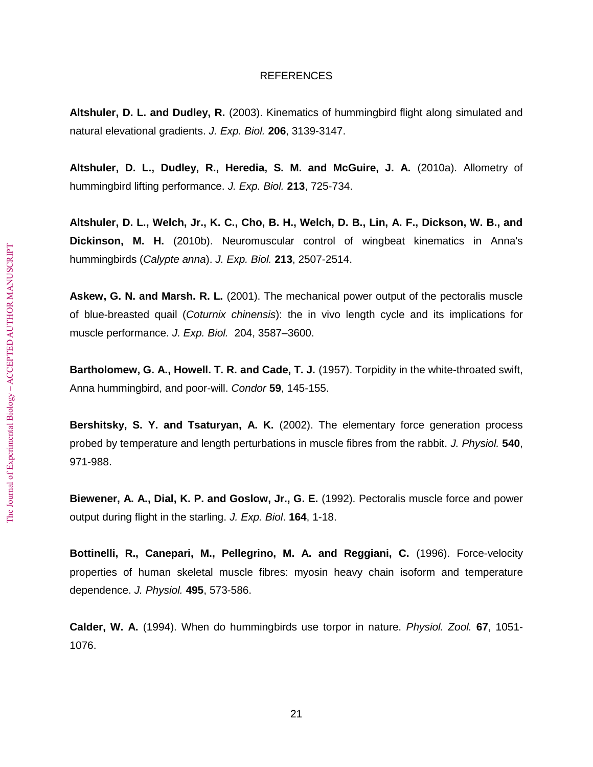# **REFERENCES**

**Altshuler, D. L. and Dudley, R.** (2003). Kinematics of hummingbird flight along simulated and natural elevational gradients. *J. Exp. Biol.* **206**, 3139-3147.

**Altshuler, D. L., Dudley, R., Heredia, S. M. and McGuire, J. A.** (2010a). Allometry of hummingbird lifting performance. *J. Exp. Biol.* **213**, 725-734.

**Altshuler, D. L., Welch, Jr., K. C., Cho, B. H., Welch, D. B., Lin, A. F., Dickson, W. B., and Dickinson, M. H.** (2010b). Neuromuscular control of wingbeat kinematics in Anna's hummingbirds (*Calypte anna*). *J. Exp. Biol.* **213**, 2507-2514.

**Askew, G. N. and Marsh. R. L.** (2001). The mechanical power output of the pectoralis muscle of blue-breasted quail (*Coturnix chinensis*): the in vivo length cycle and its implications for muscle performance. *J. Exp. Biol.* 204, 3587–3600.

**Bartholomew, G. A., Howell. T. R. and Cade, T. J.** (1957). Torpidity in the white-throated swift, Anna hummingbird, and poor-will. *Condor* **59**, 145-155.

**Bershitsky, S. Y. and Tsaturyan, A. K.** (2002). The elementary force generation process probed by temperature and length perturbations in muscle fibres from the rabbit. *J. Physiol.* **540**, 971-988.

**Biewener, A. A., Dial, K. P. and Goslow, Jr., G. E.** (1992). Pectoralis muscle force and power output during flight in the starling. *J. Exp. Biol*. **164**, 1-18.

**Bottinelli, R., Canepari, M., Pellegrino, M. A. and Reggiani, C.** (1996). Force-velocity properties of human skeletal muscle fibres: myosin heavy chain isoform and temperature dependence. *J. Physiol.* **495**, 573-586.

**Calder, W. A.** (1994). When do hummingbirds use torpor in nature. *Physiol. Zool.* **67**, 1051- 1076.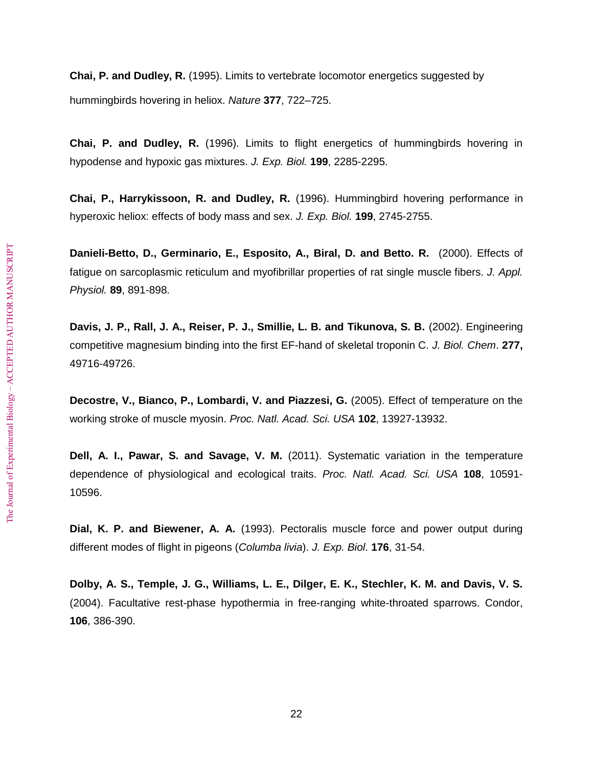**Chai, P. and Dudley, R.** (1995). Limits to vertebrate locomotor energetics suggested by hummingbirds hovering in heliox. *Nature* **377**, 722–725.

**Chai, P. and Dudley, R.** (1996). Limits to flight energetics of hummingbirds hovering in hypodense and hypoxic gas mixtures. *J. Exp. Biol.* **199**, 2285-2295.

**Chai, P., Harrykissoon, R. and Dudley, R.** (1996). Hummingbird hovering performance in hyperoxic heliox: effects of body mass and sex. *J. Exp. Biol.* **199**, 2745-2755.

**Danieli-Betto, D., Germinario, E., Esposito, A., Biral, D. and Betto. R.** (2000). Effects of fatigue on sarcoplasmic reticulum and myofibrillar properties of rat single muscle fibers. *J. Appl. Physiol.* **89**, 891-898.

**Davis, J. P., Rall, J. A., Reiser, P. J., Smillie, L. B. and Tikunova, S. B.** (2002). Engineering competitive magnesium binding into the first EF-hand of skeletal troponin C. *J. Biol. Chem*. **277,** 49716-49726.

**Decostre, V., Bianco, P., Lombardi, V. and Piazzesi, G.** (2005). Effect of temperature on the working stroke of muscle myosin. *Proc. Natl. Acad. Sci. USA* **102**, 13927-13932.

**Dell, A. I., Pawar, S. and Savage, V. M.** (2011). Systematic variation in the temperature dependence of physiological and ecological traits. *Proc. Natl. Acad. Sci. USA* **108**, 10591- 10596.

**Dial, K. P. and Biewener, A. A.** (1993). Pectoralis muscle force and power output during different modes of flight in pigeons (*Columba livia*). *J. Exp. Biol*. **176**, 31-54.

**Dolby, A. S., Temple, J. G., Williams, L. E., Dilger, E. K., Stechler, K. M. and Davis, V. S.** (2004). Facultative rest-phase hypothermia in free-ranging white-throated sparrows. Condor, **106**, 386-390.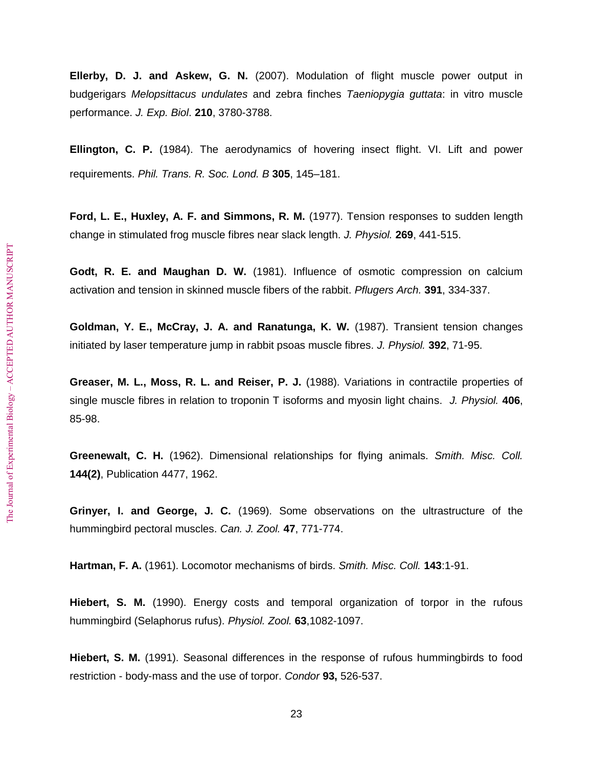**Ellerby, D. J. and Askew, G. N.** (2007). Modulation of flight muscle power output in budgerigars *Melopsittacus undulates* and zebra finches *Taeniopygia guttata*: in vitro muscle performance. *J. Exp. Biol*. **210**, 3780-3788.

**Ellington, C. P.** (1984). The aerodynamics of hovering insect flight. VI. Lift and power requirements. *Phil. Trans. R. Soc. Lond. B* **305**, 145–181.

**Ford, L. E., Huxley, A. F. and Simmons, R. M.** (1977). Tension responses to sudden length change in stimulated frog muscle fibres near slack length. *J. Physiol.* **269**, 441-515.

**Godt, R. E. and Maughan D. W.** (1981). Influence of osmotic compression on calcium activation and tension in skinned muscle fibers of the rabbit. *Pflugers Arch.* **391**, 334-337.

**Goldman, Y. E., McCray, J. A. and Ranatunga, K. W.** (1987). Transient tension changes initiated by laser temperature jump in rabbit psoas muscle fibres. *J. Physiol.* **392**, 71-95.

**Greaser, M. L., Moss, R. L. and Reiser, P. J.** (1988). Variations in contractile properties of single muscle fibres in relation to troponin T isoforms and myosin light chains. *J. Physiol.* **406**, 85-98.

**Greenewalt, C. H.** (1962). Dimensional relationships for flying animals. *Smith. Misc. Coll.* **144(2)**, Publication 4477, 1962.

**Grinyer, I. and George, J. C.** (1969). Some observations on the ultrastructure of the hummingbird pectoral muscles. *Can. J. Zool.* **47**, 771-774.

**Hartman, F. A.** (1961). Locomotor mechanisms of birds. *Smith. Misc. Coll.* **143**:1-91.

**Hiebert, S. M.** (1990). Energy costs and temporal organization of torpor in the rufous hummingbird (Selaphorus rufus). *Physiol. Zool.* **63**,1082-1097.

**Hiebert, S. M.** (1991). Seasonal differences in the response of rufous hummingbirds to food restriction - body-mass and the use of torpor. *Condor* **93,** 526-537.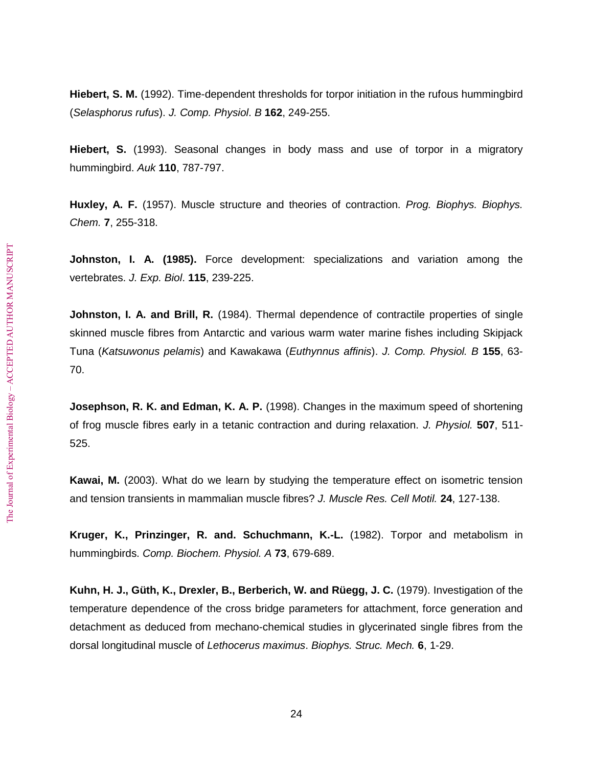**Hiebert, S. M.** (1992). Time-dependent thresholds for torpor initiation in the rufous hummingbird (*Selasphorus rufus*). *J. Comp. Physiol*. *B* **162**, 249-255.

**Hiebert, S.** (1993). Seasonal changes in body mass and use of torpor in a migratory hummingbird. *Auk* **110**, 787-797.

**Huxley, A. F.** (1957). Muscle structure and theories of contraction. *Prog. Biophys. Biophys. Chem.* **7**, 255-318.

**Johnston, I. A. (1985).** Force development: specializations and variation among the vertebrates. *J. Exp. Biol*. **115**, 239-225.

**Johnston, I. A. and Brill, R.** (1984). Thermal dependence of contractile properties of single skinned muscle fibres from Antarctic and various warm water marine fishes including Skipjack Tuna (*Katsuwonus pelamis*) and Kawakawa (*Euthynnus affinis*). *J. Comp. Physiol. B* **155**, 63- 70.

**Josephson, R. K. and Edman, K. A. P.** (1998). Changes in the maximum speed of shortening of frog muscle fibres early in a tetanic contraction and during relaxation. *J. Physiol.* **507**, 511- 525.

**Kawai, M.** (2003). What do we learn by studying the temperature effect on isometric tension and tension transients in mammalian muscle fibres? *J. Muscle Res. Cell Motil.* **24**, 127-138.

**Kruger, K., Prinzinger, R. and. Schuchmann, K.-L.** (1982). Torpor and metabolism in hummingbirds. *Comp. Biochem. Physiol. A* **73**, 679-689.

**Kuhn, H. J., Güth, K., Drexler, B., Berberich, W. and Rüegg, J. C.** (1979). Investigation of the temperature dependence of the cross bridge parameters for attachment, force generation and detachment as deduced from mechano-chemical studies in glycerinated single fibres from the dorsal longitudinal muscle of *Lethocerus maximus*. *Biophys. Struc. Mech.* **6**, 1-29.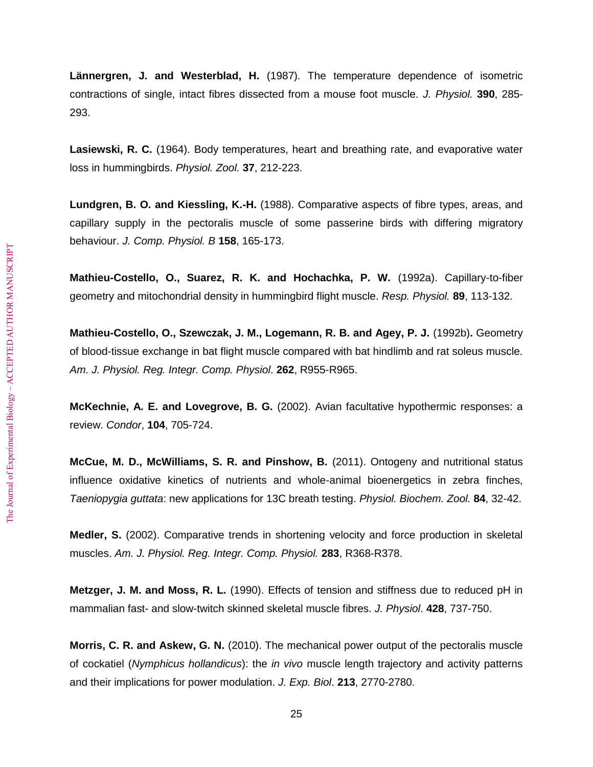**Lännergren, J. and Westerblad, H.** (1987). The temperature dependence of isometric contractions of single, intact fibres dissected from a mouse foot muscle. *J. Physiol.* **390**, 285- 293.

**Lasiewski, R. C.** (1964). Body temperatures, heart and breathing rate, and evaporative water loss in hummingbirds. *Physiol. Zool.* **37**, 212-223.

**Lundgren, B. O. and Kiessling, K.-H.** (1988). Comparative aspects of fibre types, areas, and capillary supply in the pectoralis muscle of some passerine birds with differing migratory behaviour. *J. Comp. Physiol. B* **158**, 165-173.

**Mathieu-Costello, O., Suarez, R. K. and Hochachka, P. W.** (1992a). Capillary-to-fiber geometry and mitochondrial density in hummingbird flight muscle. *Resp. Physiol.* **89**, 113-132.

**Mathieu-Costello, O., Szewczak, J. M., Logemann, R. B. and Agey, P. J.** (1992b)**.** Geometry of blood-tissue exchange in bat flight muscle compared with bat hindlimb and rat soleus muscle. *Am. J. Physiol. Reg. Integr. Comp. Physiol*. **262**, R955-R965.

**McKechnie, A. E. and Lovegrove, B. G.** (2002). Avian facultative hypothermic responses: a review. *Condor*, **104**, 705-724.

**McCue, M. D., McWilliams, S. R. and Pinshow, B.** (2011). Ontogeny and nutritional status influence oxidative kinetics of nutrients and whole-animal bioenergetics in zebra finches, *Taeniopygia guttata*: new applications for 13C breath testing. *Physiol. Biochem. Zool.* **84**, 32-42.

**Medler, S.** (2002). Comparative trends in shortening velocity and force production in skeletal muscles. *Am. J. Physiol. Reg. Integr. Comp. Physiol.* **283**, R368-R378.

**Metzger, J. M. and Moss, R. L.** (1990). Effects of tension and stiffness due to reduced pH in mammalian fast- and slow-twitch skinned skeletal muscle fibres. *J. Physiol*. **428**, 737-750.

**Morris, C. R. and Askew, G. N.** (2010). The mechanical power output of the pectoralis muscle of cockatiel (*Nymphicus hollandicus*): the *in vivo* muscle length trajectory and activity patterns and their implications for power modulation. *J. Exp. Biol*. **213**, 2770-2780.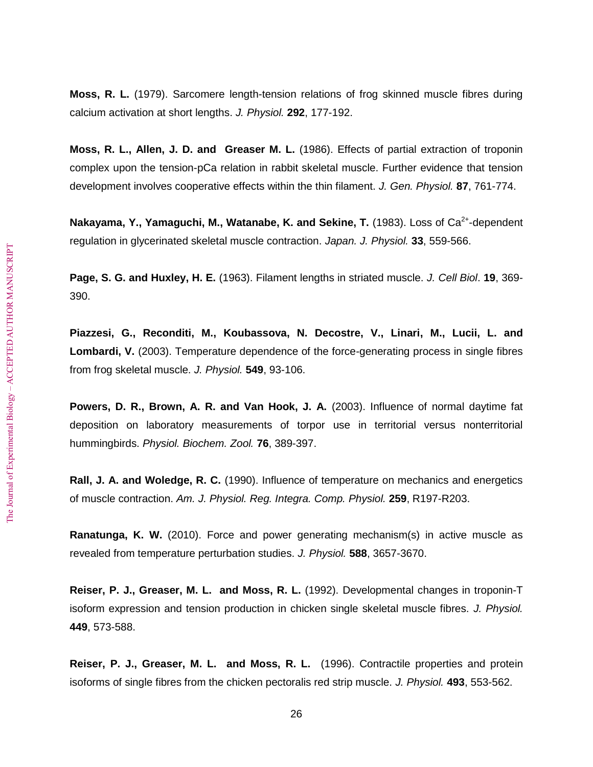**Moss, R. L.** (1979). Sarcomere length-tension relations of frog skinned muscle fibres during calcium activation at short lengths. *J. Physiol.* **292**, 177-192.

**Moss, R. L., Allen, J. D. and Greaser M. L.** (1986). Effects of partial extraction of troponin complex upon the tension-pCa relation in rabbit skeletal muscle. Further evidence that tension development involves cooperative effects within the thin filament. *J. Gen. Physiol.* **87**, 761-774.

Nakayama, Y., Yamaguchi, M., Watanabe, K. and Sekine, T. (1983). Loss of Ca<sup>2+</sup>-dependent regulation in glycerinated skeletal muscle contraction. *Japan. J. Physiol.* **33**, 559-566.

**Page, S. G. and Huxley, H. E.** (1963). Filament lengths in striated muscle. *J. Cell Biol*. **19**, 369- 390.

**Piazzesi, G., Reconditi, M., Koubassova, N. Decostre, V., Linari, M., Lucii, L. and Lombardi, V.** (2003). Temperature dependence of the force-generating process in single fibres from frog skeletal muscle. *J. Physiol.* **549**, 93-106.

**Powers, D. R., Brown, A. R. and Van Hook, J. A.** (2003). Influence of normal daytime fat deposition on laboratory measurements of torpor use in territorial versus nonterritorial hummingbirds. *Physiol. Biochem. Zool.* **76**, 389-397.

**Rall, J. A. and Woledge, R. C.** (1990). Influence of temperature on mechanics and energetics of muscle contraction. *Am. J. Physiol. Reg. Integra. Comp. Physiol.* **259**, R197-R203.

**Ranatunga, K. W.** (2010). Force and power generating mechanism(s) in active muscle as revealed from temperature perturbation studies. *J. Physiol.* **588**, 3657-3670.

**Reiser, P. J., Greaser, M. L. and Moss, R. L.** (1992). Developmental changes in troponin-T isoform expression and tension production in chicken single skeletal muscle fibres. *J. Physiol.* **449**, 573-588.

**Reiser, P. J., Greaser, M. L. and Moss, R. L.** (1996). Contractile properties and protein isoforms of single fibres from the chicken pectoralis red strip muscle. *J. Physiol.* **493**, 553-562.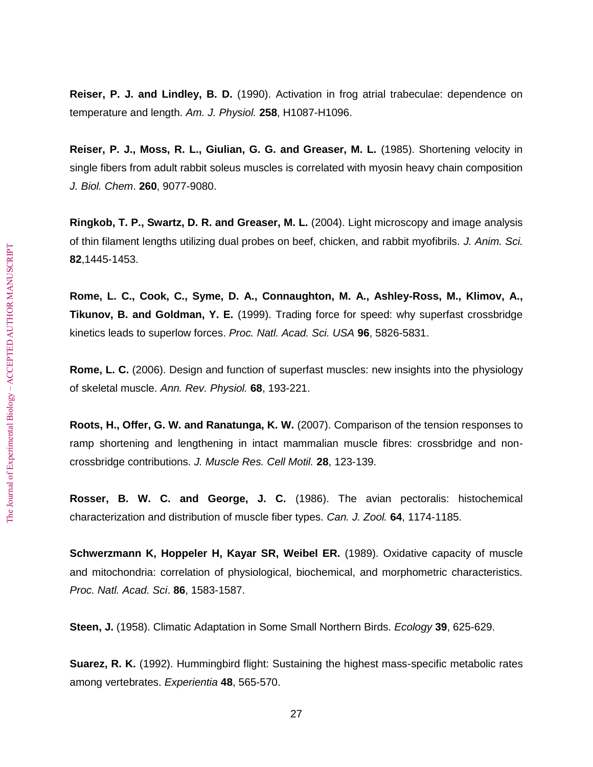**Reiser, P. J. and Lindley, B. D.** (1990). Activation in frog atrial trabeculae: dependence on temperature and length. *Am. J. Physiol.* **258**, H1087-H1096.

**Reiser, P. J., Moss, R. L., Giulian, G. G. and Greaser, M. L.** (1985). Shortening velocity in single fibers from adult rabbit soleus muscles is correlated with myosin heavy chain composition *J. Biol. Chem*. **260**, 9077-9080.

**Ringkob, T. P., Swartz, D. R. and Greaser, M. L.** (2004). Light microscopy and image analysis of thin filament lengths utilizing dual probes on beef, chicken, and rabbit myofibrils. *J. Anim. Sci.* **82**,1445-1453.

**Rome, L. C., Cook, C., Syme, D. A., Connaughton, M. A., Ashley-Ross, M., Klimov, A., Tikunov, B. and Goldman, Y. E.** (1999). Trading force for speed: why superfast crossbridge kinetics leads to superlow forces. *Proc. Natl. Acad. Sci. USA* **96**, 5826-5831.

**Rome, L. C.** (2006). Design and function of superfast muscles: new insights into the physiology of skeletal muscle. *Ann. Rev. Physiol.* **68**, 193-221.

**Roots, H., Offer, G. W. and Ranatunga, K. W.** (2007). Comparison of the tension responses to ramp shortening and lengthening in intact mammalian muscle fibres: crossbridge and noncrossbridge contributions. *J. Muscle Res. Cell Motil.* **28**, 123-139.

**Rosser, B. W. C. and George, J. C.** (1986). The avian pectoralis: histochemical characterization and distribution of muscle fiber types. *Can. J. Zool.* **64**, 1174-1185.

**Schwerzmann K, Hoppeler H, Kayar SR, Weibel ER.** (1989). Oxidative capacity of muscle and mitochondria: correlation of physiological, biochemical, and morphometric characteristics. *Proc. Natl. Acad. Sci*. **86**, 1583-1587.

**Steen, J.** (1958). Climatic Adaptation in Some Small Northern Birds. *Ecology* **39**, 625-629.

**Suarez, R. K.** (1992). Hummingbird flight: Sustaining the highest mass-specific metabolic rates among vertebrates. *Experientia* **48**, 565-570.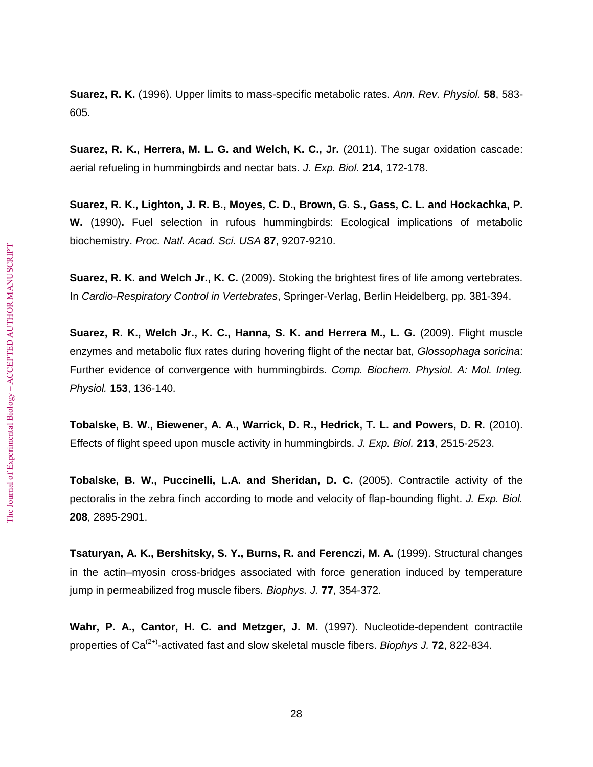**Suarez, R. K.** (1996). Upper limits to mass-specific metabolic rates. *Ann. Rev. Physiol.* **58**, 583- 605.

**Suarez, R. K., Herrera, M. L. G. and Welch, K. C., Jr.** (2011). The sugar oxidation cascade: aerial refueling in hummingbirds and nectar bats. *J. Exp. Biol.* **214**, 172-178.

**Suarez, R. K., Lighton, J. R. B., Moyes, C. D., Brown, G. S., Gass, C. L. and Hockachka, P. W.** (1990)**.** Fuel selection in rufous hummingbirds: Ecological implications of metabolic biochemistry. *Proc. Natl. Acad. Sci. USA* **87**, 9207-9210.

**Suarez, R. K. and Welch Jr., K. C.** (2009). Stoking the brightest fires of life among vertebrates. In *Cardio-Respiratory Control in Vertebrates*, Springer-Verlag, Berlin Heidelberg, pp. 381-394.

**Suarez, R. K., Welch Jr., K. C., Hanna, S. K. and Herrera M., L. G.** (2009). Flight muscle enzymes and metabolic flux rates during hovering flight of the nectar bat, *Glossophaga soricina*: Further evidence of convergence with hummingbirds. *Comp. Biochem. Physiol. A: Mol. Integ. Physiol.* **153**, 136-140.

**Tobalske, B. W., Biewener, A. A., Warrick, D. R., Hedrick, T. L. and Powers, D. R.** (2010). Effects of flight speed upon muscle activity in hummingbirds. *J. Exp. Biol.* **213**, 2515-2523.

**Tobalske, B. W., Puccinelli, L.A. and Sheridan, D. C.** (2005). Contractile activity of the pectoralis in the zebra finch according to mode and velocity of flap-bounding flight. *J. Exp. Biol.* **208**, 2895-2901.

**Tsaturyan, A. K., Bershitsky, S. Y., Burns, R. and Ferenczi, M. A.** (1999). Structural changes in the actin–myosin cross-bridges associated with force generation induced by temperature jump in permeabilized frog muscle fibers. *Biophys. J.* **77**, 354-372.

**Wahr, P. A., Cantor, H. C. and Metzger, J. M.** (1997). Nucleotide-dependent contractile properties of Ca(2+)-activated fast and slow skeletal muscle fibers. *Biophys J.* **72**, 822-834.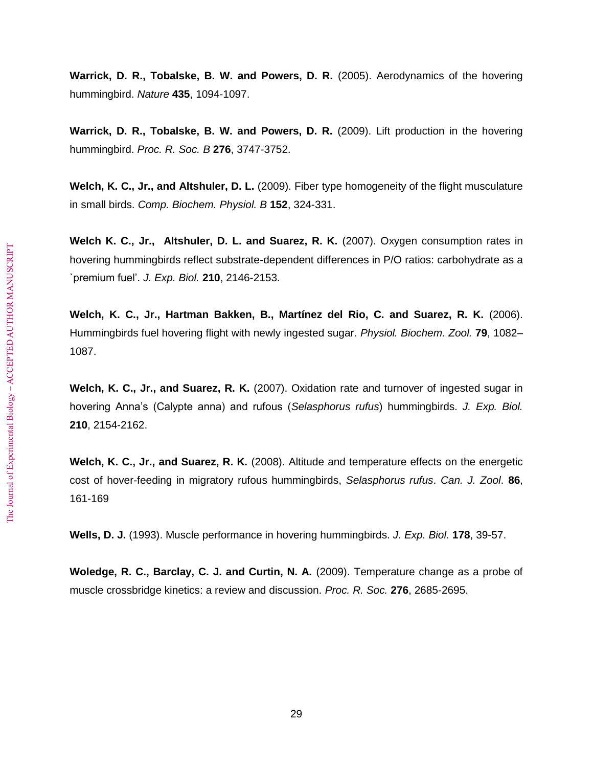**Warrick, D. R., Tobalske, B. W. and Powers, D. R.** (2005). Aerodynamics of the hovering hummingbird. *Nature* **435**, 1094-1097.

**Warrick, D. R., Tobalske, B. W. and Powers, D. R.** (2009). Lift production in the hovering hummingbird. *Proc. R. Soc. B* **276**, 3747-3752.

**Welch, K. C., Jr., and Altshuler, D. L.** (2009). Fiber type homogeneity of the flight musculature in small birds. *Comp. Biochem. Physiol. B* **152**, 324-331.

**Welch K. C., Jr., Altshuler, D. L. and Suarez, R. K.** (2007). Oxygen consumption rates in hovering hummingbirds reflect substrate-dependent differences in P/O ratios: carbohydrate as a `premium fuel'. *J. Exp. Biol.* **210**, 2146-2153.

**Welch, K. C., Jr., Hartman Bakken, B., Martínez del Rio, C. and Suarez, R. K.** (2006). Hummingbirds fuel hovering flight with newly ingested sugar. *Physiol. Biochem. Zool.* **79**, 1082– 1087.

**Welch, K. C., Jr., and Suarez, R. K.** (2007). Oxidation rate and turnover of ingested sugar in hovering Anna's (Calypte anna) and rufous (*Selasphorus rufus*) hummingbirds. *J. Exp. Biol.* **210**, 2154-2162.

**Welch, K. C., Jr., and Suarez, R. K.** (2008). Altitude and temperature effects on the energetic cost of hover-feeding in migratory rufous hummingbirds, *Selasphorus rufus*. *Can. J. Zool*. **86**, 161-169

**Wells, D. J.** (1993). Muscle performance in hovering hummingbirds. *J. Exp. Biol.* **178**, 39-57.

**Woledge, R. C., Barclay, C. J. and Curtin, N. A.** (2009). Temperature change as a probe of muscle crossbridge kinetics: a review and discussion. *Proc. R. Soc.* **276**, 2685-2695.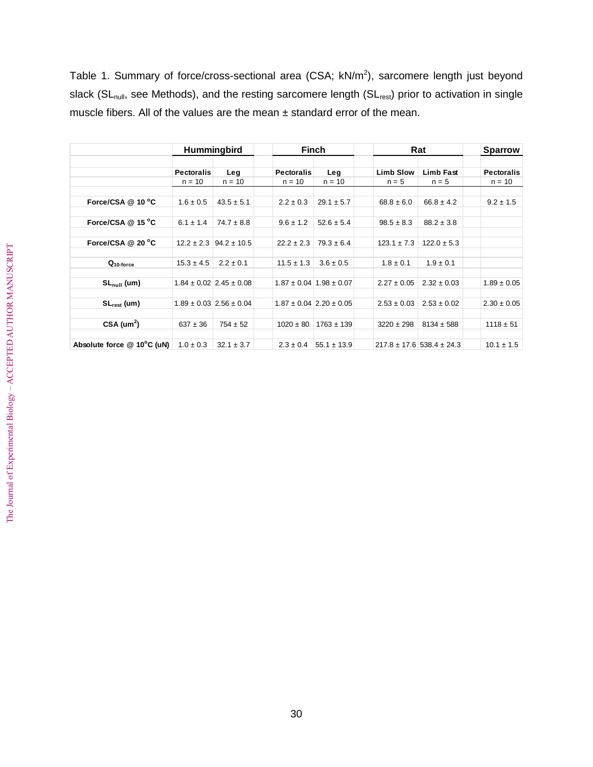Table 1. Summary of force/cross-sectional area (CSA;  $kN/m<sup>2</sup>$ ), sarcomere length just beyond slack (SL<sub>null</sub>, see Methods), and the resting sarcomere length (SL<sub>rest</sub>) prior to activation in single muscle fibers. All of the values are the mean ± standard error of the mean.

|                                         | <b>Hummingbird</b>            |                                 | Finch                         |                                   | Rat                         |                                   | <b>Sparrow</b>                |
|-----------------------------------------|-------------------------------|---------------------------------|-------------------------------|-----------------------------------|-----------------------------|-----------------------------------|-------------------------------|
|                                         | <b>Pectoralis</b><br>$n = 10$ | Leg<br>$n = 10$                 | <b>Pectoralis</b><br>$n = 10$ | Leg<br>$n = 10$                   | <b>Limb Slow</b><br>$n = 5$ | <b>Limb Fast</b><br>$n = 5$       | <b>Pectoralis</b><br>$n = 10$ |
|                                         |                               |                                 |                               |                                   |                             |                                   |                               |
| Force/CSA @ 10 °C                       | $1.6 \pm 0.5$                 | $43.5 \pm 5.1$                  | $2.2 \pm 0.3$                 | $29.1 \pm 5.7$                    | $68.8 \pm 6.0$              | $66.8 \pm 4.2$                    | $9.2 \pm 1.5$                 |
| Force/CSA @ 15 °C                       | $6.1 \pm 1.4$                 | $74.7 \pm 8.8$                  | $9.6 \pm 1.2$                 | $52.6 \pm 5.4$                    | $98.5 \pm 8.3$              | $88.2 \pm 3.8$                    |                               |
| Force/CSA @ 20 °C                       |                               | $12.2 \pm 2.3$ 94.2 $\pm$ 10.5  | $22.2 \pm 2.3$                | $79.3 \pm 6.4$                    | $123.1 \pm 7.3$             | $122.0 \pm 5.3$                   |                               |
| Q <sub>10-force</sub>                   | $15.3 \pm 4.5$                | $2.2 \pm 0.1$                   | $11.5 \pm 1.3$                | $3.6 \pm 0.5$                     | $1.8 \pm 0.1$               | $1.9 \pm 0.1$                     |                               |
| $SL_{null}$ (um)                        |                               | $1.84 \pm 0.02$ 2.45 $\pm$ 0.08 |                               | $1.87 \pm 0.04 \pm 1.98 \pm 0.07$ | $2.27 \pm 0.05$             | $2.32 \pm 0.03$                   | $1.89 \pm 0.05$               |
| $SL_{rest}$ (um)                        |                               | $1.89 \pm 0.03$ 2.56 $\pm 0.04$ |                               | $1.87 \pm 0.04$ 2.20 $\pm$ 0.05   | $2.53 \pm 0.03$             | $2.53 \pm 0.02$                   | $2.30 \pm 0.05$               |
| $CSA$ (um <sup>2</sup> )                | $637 \pm 36$                  | $754 \pm 52$                    |                               | $1020 \pm 80$   1763 $\pm$ 139    | $3220 \pm 298$              | $8134 \pm 588$                    | $1118 \pm 51$                 |
| Absolute force $@$ 10 $^{\circ}$ C (uN) | $1.0 \pm 0.3$                 | $32.1 \pm 3.7$                  | $2.3 \pm 0.4$                 | $55.1 \pm 13.9$                   |                             | $217.8 \pm 17.6$ 538.4 $\pm$ 24.3 | $10.1 \pm 1.5$                |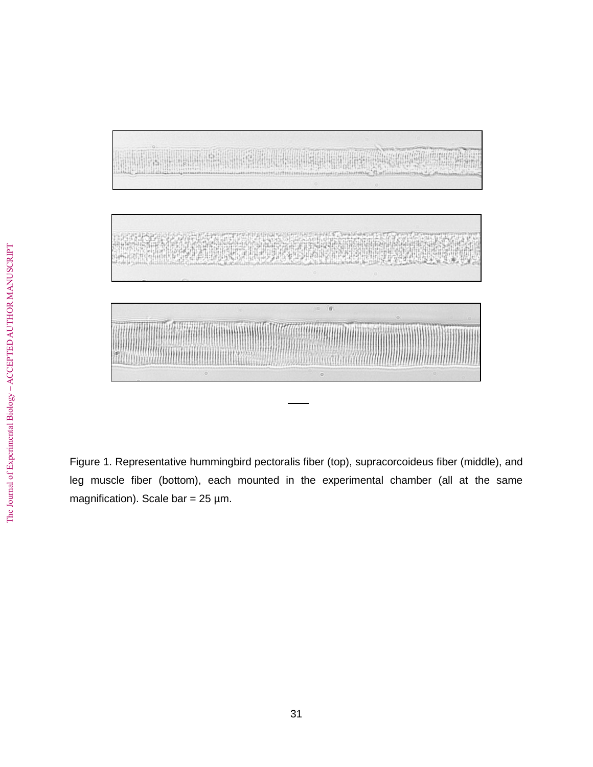

Figure 1. Representative hummingbird pectoralis fiber (top), supracorcoideus fiber (middle), and leg muscle fiber (bottom), each mounted in the experimental chamber (all at the same magnification). Scale bar =  $25 \mu m$ .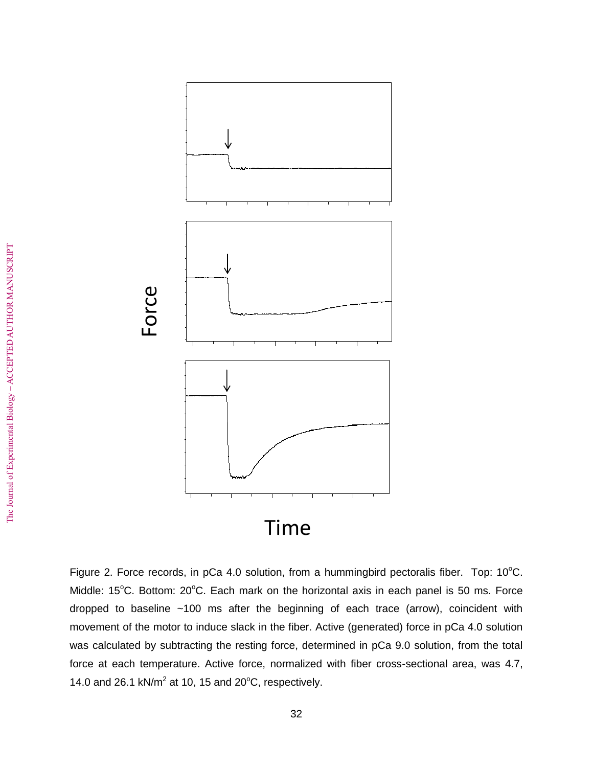

Figure 2. Force records, in pCa 4.0 solution, from a hummingbird pectoralis fiber. Top:  $10^{\circ}$ C. Middle:  $15^{\circ}$ C. Bottom:  $20^{\circ}$ C. Each mark on the horizontal axis in each panel is 50 ms. Force dropped to baseline ~100 ms after the beginning of each trace (arrow), coincident with movement of the motor to induce slack in the fiber. Active (generated) force in pCa 4.0 solution was calculated by subtracting the resting force, determined in pCa 9.0 solution, from the total force at each temperature. Active force, normalized with fiber cross-sectional area, was 4.7, 14.0 and 26.1 kN/ $m^2$  at 10, 15 and 20 $\mathrm{^oC}$ , respectively.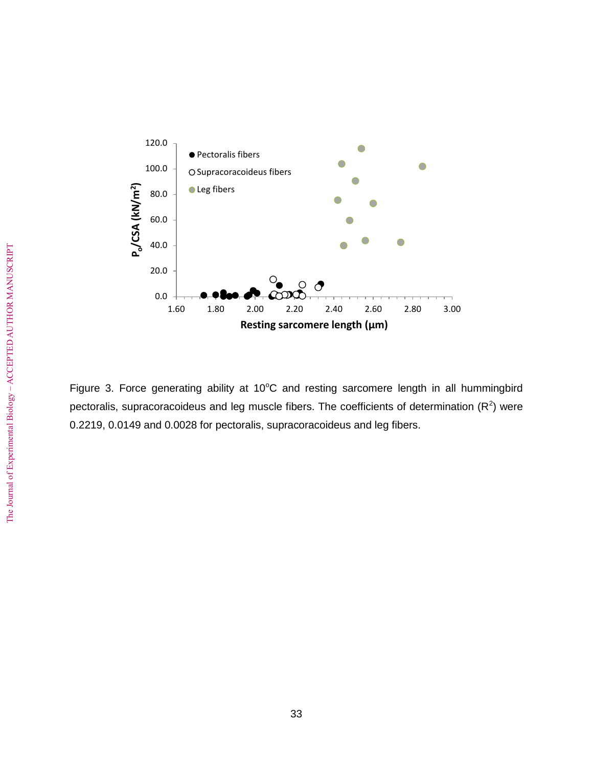

Figure 3. Force generating ability at 10°C and resting sarcomere length in all hummingbird pectoralis, supracoracoideus and leg muscle fibers. The coefficients of determination ( $R^2$ ) were 0.2219, 0.0149 and 0.0028 for pectoralis, supracoracoideus and leg fibers.